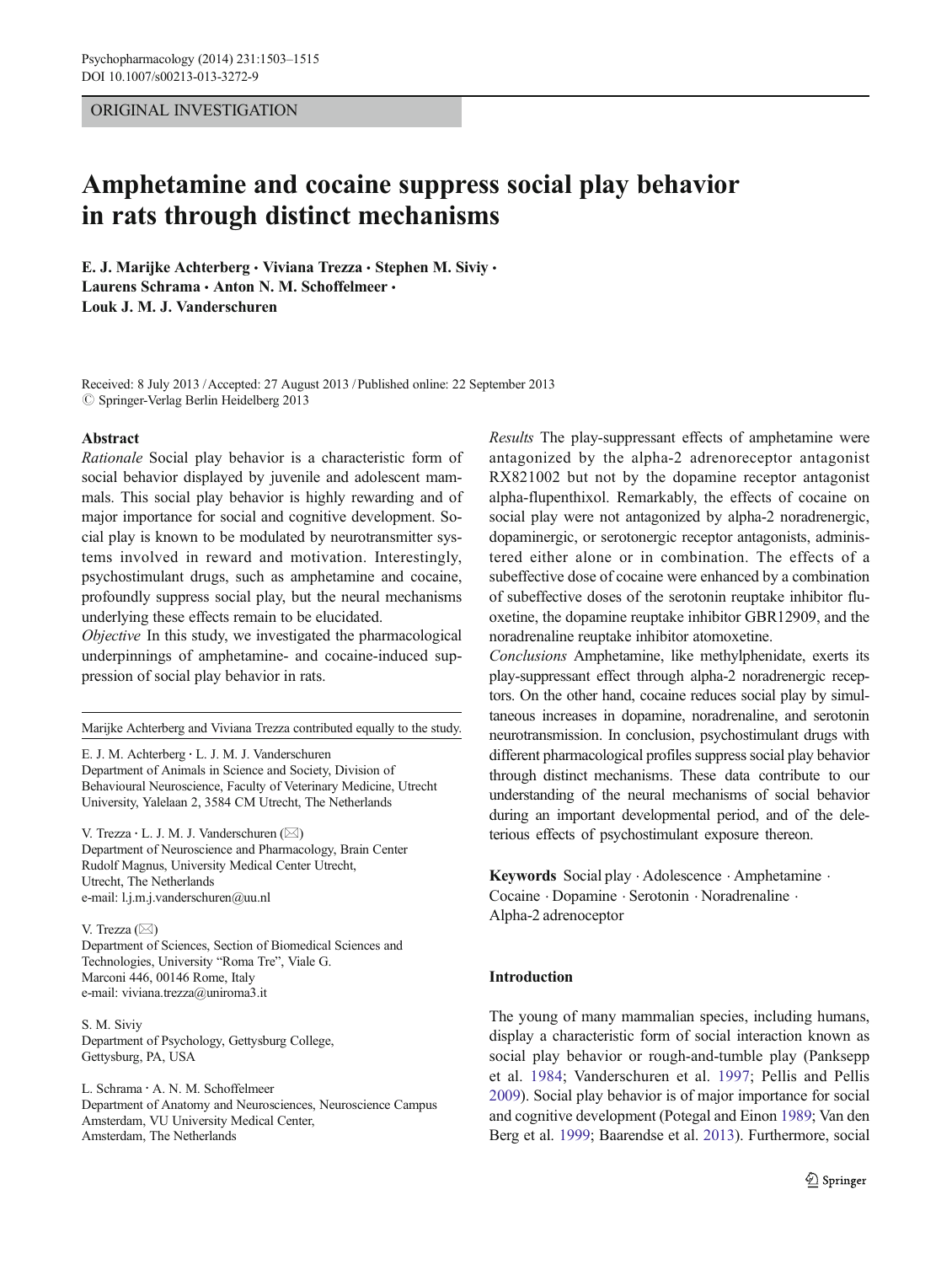### ORIGINAL INVESTIGATION

# Amphetamine and cocaine suppress social play behavior in rats through distinct mechanisms

E. J. Marijke Achterberg · Viviana Trezza · Stephen M. Siviy · Laurens Schrama · Anton N. M. Schoffelmeer · Louk J. M. J. Vanderschuren

Received: 8 July 2013 /Accepted: 27 August 2013 / Published online: 22 September 2013  $\oslash$  Springer-Verlag Berlin Heidelberg 2013

#### Abstract

Rationale Social play behavior is a characteristic form of social behavior displayed by juvenile and adolescent mammals. This social play behavior is highly rewarding and of major importance for social and cognitive development. Social play is known to be modulated by neurotransmitter systems involved in reward and motivation. Interestingly, psychostimulant drugs, such as amphetamine and cocaine, profoundly suppress social play, but the neural mechanisms underlying these effects remain to be elucidated.

Objective In this study, we investigated the pharmacological underpinnings of amphetamine- and cocaine-induced suppression of social play behavior in rats.

Marijke Achterberg and Viviana Trezza contributed equally to the study.

E. J. M. Achterberg : L. J. M. J. Vanderschuren Department of Animals in Science and Society, Division of Behavioural Neuroscience, Faculty of Veterinary Medicine, Utrecht University, Yalelaan 2, 3584 CM Utrecht, The Netherlands

V. Trezza · L. J. M. J. Vanderschuren  $(\boxtimes)$ Department of Neuroscience and Pharmacology, Brain Center Rudolf Magnus, University Medical Center Utrecht, Utrecht, The Netherlands e-mail: l.j.m.j.vanderschuren@uu.nl

#### V. Trezza  $(\boxtimes)$

Department of Sciences, Section of Biomedical Sciences and Technologies, University "Roma Tre", Viale G. Marconi 446, 00146 Rome, Italy e-mail: viviana.trezza@uniroma3.it

S. M. Siviy Department of Psychology, Gettysburg College, Gettysburg, PA, USA

L. Schrama : A. N. M. Schoffelmeer Department of Anatomy and Neurosciences, Neuroscience Campus Amsterdam, VU University Medical Center, Amsterdam, The Netherlands

Results The play-suppressant effects of amphetamine were antagonized by the alpha-2 adrenoreceptor antagonist RX821002 but not by the dopamine receptor antagonist alpha-flupenthixol. Remarkably, the effects of cocaine on social play were not antagonized by alpha-2 noradrenergic, dopaminergic, or serotonergic receptor antagonists, administered either alone or in combination. The effects of a subeffective dose of cocaine were enhanced by a combination of subeffective doses of the serotonin reuptake inhibitor fluoxetine, the dopamine reuptake inhibitor GBR12909, and the noradrenaline reuptake inhibitor atomoxetine.

Conclusions Amphetamine, like methylphenidate, exerts its play-suppressant effect through alpha-2 noradrenergic receptors. On the other hand, cocaine reduces social play by simultaneous increases in dopamine, noradrenaline, and serotonin neurotransmission. In conclusion, psychostimulant drugs with different pharmacological profiles suppress social play behavior through distinct mechanisms. These data contribute to our understanding of the neural mechanisms of social behavior during an important developmental period, and of the deleterious effects of psychostimulant exposure thereon.

Keywords Social play . Adolescence . Amphetamine . Cocaine . Dopamine . Serotonin . Noradrenaline . Alpha-2 adrenoceptor

#### Introduction

The young of many mammalian species, including humans, display a characteristic form of social interaction known as social play behavior or rough-and-tumble play (Panksepp et al. [1984](#page-11-0); Vanderschuren et al. [1997](#page-12-0); Pellis and Pellis [2009\)](#page-11-0). Social play behavior is of major importance for social and cognitive development (Potegal and Einon [1989;](#page-11-0) Van den Berg et al. [1999](#page-12-0); Baarendse et al. [2013\)](#page-11-0). Furthermore, social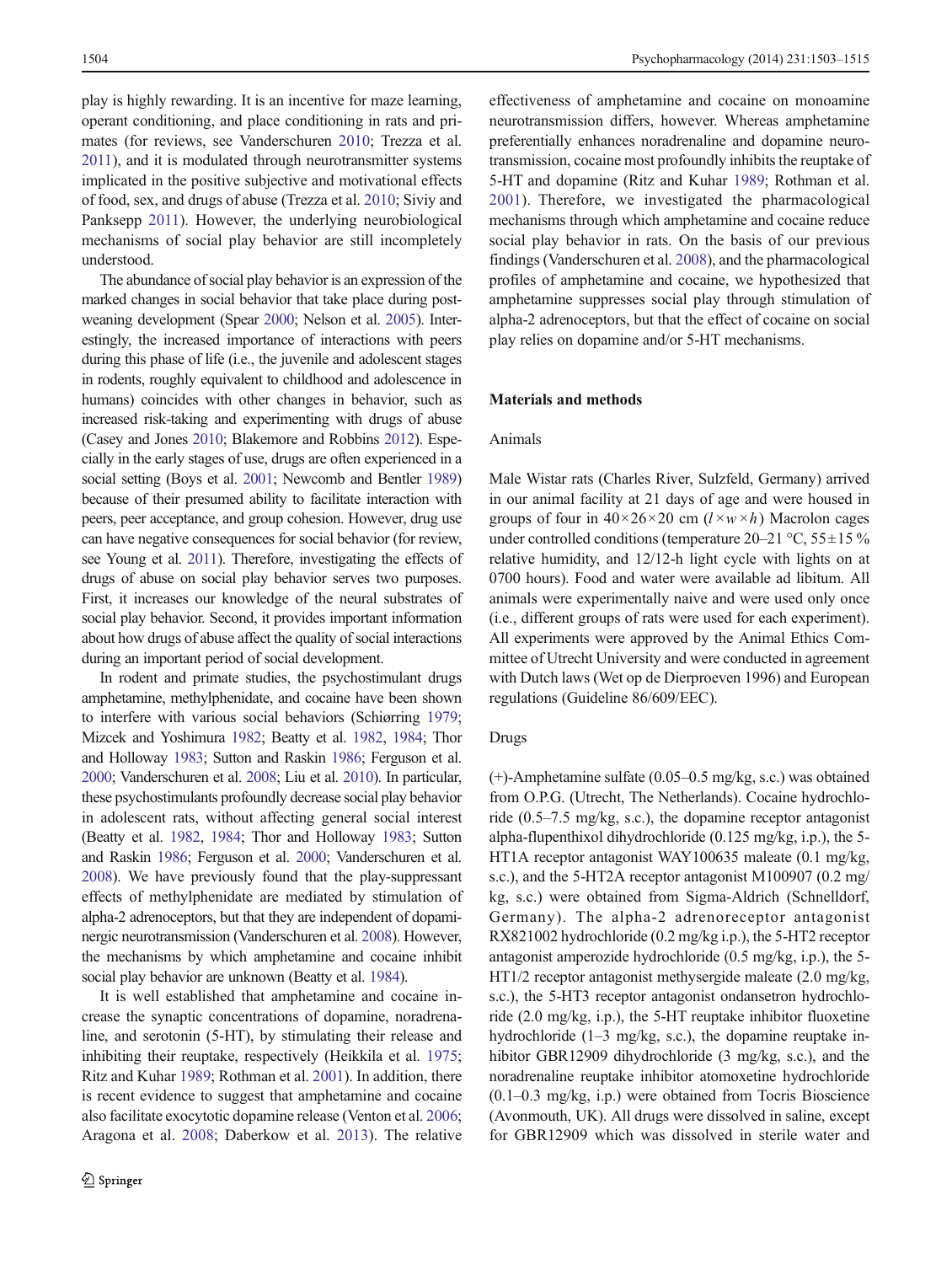play is highly rewarding. It is an incentive for maze learning, operant conditioning, and place conditioning in rats and primates (for reviews, see Vanderschuren [2010;](#page-12-0) Trezza et al. [2011](#page-12-0)), and it is modulated through neurotransmitter systems implicated in the positive subjective and motivational effects of food, sex, and drugs of abuse (Trezza et al. [2010](#page-12-0); Siviy and Panksepp [2011](#page-12-0)). However, the underlying neurobiological mechanisms of social play behavior are still incompletely understood.

The abundance of social play behavior is an expression of the marked changes in social behavior that take place during postweaning development (Spear [2000](#page-12-0); Nelson et al. [2005](#page-11-0)). Interestingly, the increased importance of interactions with peers during this phase of life (i.e., the juvenile and adolescent stages in rodents, roughly equivalent to childhood and adolescence in humans) coincides with other changes in behavior, such as increased risk-taking and experimenting with drugs of abuse (Casey and Jones [2010;](#page-11-0) Blakemore and Robbins [2012](#page-11-0)). Especially in the early stages of use, drugs are often experienced in a social setting (Boys et al. [2001;](#page-11-0) Newcomb and Bentler [1989\)](#page-11-0) because of their presumed ability to facilitate interaction with peers, peer acceptance, and group cohesion. However, drug use can have negative consequences for social behavior (for review, see Young et al. [2011](#page-12-0)). Therefore, investigating the effects of drugs of abuse on social play behavior serves two purposes. First, it increases our knowledge of the neural substrates of social play behavior. Second, it provides important information about how drugs of abuse affect the quality of social interactions during an important period of social development.

In rodent and primate studies, the psychostimulant drugs amphetamine, methylphenidate, and cocaine have been shown to interfere with various social behaviors (Schiørring [1979](#page-12-0); Mizcek and Yoshimura [1982;](#page-11-0) Beatty et al. [1982,](#page-11-0) [1984](#page-11-0); Thor and Holloway [1983](#page-12-0); Sutton and Raskin [1986](#page-12-0); Ferguson et al. [2000;](#page-11-0) Vanderschuren et al. [2008;](#page-12-0) Liu et al. [2010\)](#page-11-0). In particular, these psychostimulants profoundly decrease social play behavior in adolescent rats, without affecting general social interest (Beatty et al. [1982](#page-11-0), [1984;](#page-11-0) Thor and Holloway [1983;](#page-12-0) Sutton and Raskin [1986](#page-12-0); Ferguson et al. [2000](#page-11-0); Vanderschuren et al. [2008](#page-12-0)). We have previously found that the play-suppressant effects of methylphenidate are mediated by stimulation of alpha-2 adrenoceptors, but that they are independent of dopaminergic neurotransmission (Vanderschuren et al. [2008](#page-12-0)). However, the mechanisms by which amphetamine and cocaine inhibit social play behavior are unknown (Beatty et al. [1984](#page-11-0)).

It is well established that amphetamine and cocaine increase the synaptic concentrations of dopamine, noradrenaline, and serotonin (5-HT), by stimulating their release and inhibiting their reuptake, respectively (Heikkila et al. [1975](#page-11-0); Ritz and Kuhar [1989;](#page-11-0) Rothman et al. [2001](#page-11-0)). In addition, there is recent evidence to suggest that amphetamine and cocaine also facilitate exocytotic dopamine release (Venton et al. [2006](#page-12-0); Aragona et al. [2008;](#page-11-0) Daberkow et al. [2013\)](#page-11-0). The relative

effectiveness of amphetamine and cocaine on monoamine neurotransmission differs, however. Whereas amphetamine preferentially enhances noradrenaline and dopamine neurotransmission, cocaine most profoundly inhibits the reuptake of 5-HT and dopamine (Ritz and Kuhar [1989](#page-11-0); Rothman et al. [2001](#page-11-0)). Therefore, we investigated the pharmacological mechanisms through which amphetamine and cocaine reduce social play behavior in rats. On the basis of our previous findings (Vanderschuren et al. [2008](#page-12-0)), and the pharmacological profiles of amphetamine and cocaine, we hypothesized that amphetamine suppresses social play through stimulation of alpha-2 adrenoceptors, but that the effect of cocaine on social play relies on dopamine and/or 5-HT mechanisms.

#### Materials and methods

#### Animals

Male Wistar rats (Charles River, Sulzfeld, Germany) arrived in our animal facility at 21 days of age and were housed in groups of four in  $40 \times 26 \times 20$  cm  $(l \times w \times h)$  Macrolon cages under controlled conditions (temperature 20–21 °C,  $55\pm15$  % relative humidity, and 12/12-h light cycle with lights on at 0700 hours). Food and water were available ad libitum. All animals were experimentally naive and were used only once (i.e., different groups of rats were used for each experiment). All experiments were approved by the Animal Ethics Committee of Utrecht University and were conducted in agreement with Dutch laws (Wet op de Dierproeven 1996) and European regulations (Guideline 86/609/EEC).

#### Drugs

(+)-Amphetamine sulfate (0.05–0.5 mg/kg, s.c.) was obtained from O.P.G. (Utrecht, The Netherlands). Cocaine hydrochloride (0.5–7.5 mg/kg, s.c.), the dopamine receptor antagonist alpha-flupenthixol dihydrochloride (0.125 mg/kg, i.p.), the 5- HT1A receptor antagonist WAY100635 maleate (0.1 mg/kg, s.c.), and the 5-HT2A receptor antagonist M100907 (0.2 mg/ kg, s.c.) were obtained from Sigma-Aldrich (Schnelldorf, Germany). The alpha-2 adrenoreceptor antagonist RX821002 hydrochloride (0.2 mg/kg i.p.), the 5-HT2 receptor antagonist amperozide hydrochloride (0.5 mg/kg, i.p.), the 5- HT1/2 receptor antagonist methysergide maleate (2.0 mg/kg, s.c.), the 5-HT3 receptor antagonist ondansetron hydrochloride (2.0 mg/kg, i.p.), the 5-HT reuptake inhibitor fluoxetine hydrochloride (1–3 mg/kg, s.c.), the dopamine reuptake inhibitor GBR12909 dihydrochloride (3 mg/kg, s.c.), and the noradrenaline reuptake inhibitor atomoxetine hydrochloride (0.1–0.3 mg/kg, i.p.) were obtained from Tocris Bioscience (Avonmouth, UK). All drugs were dissolved in saline, except for GBR12909 which was dissolved in sterile water and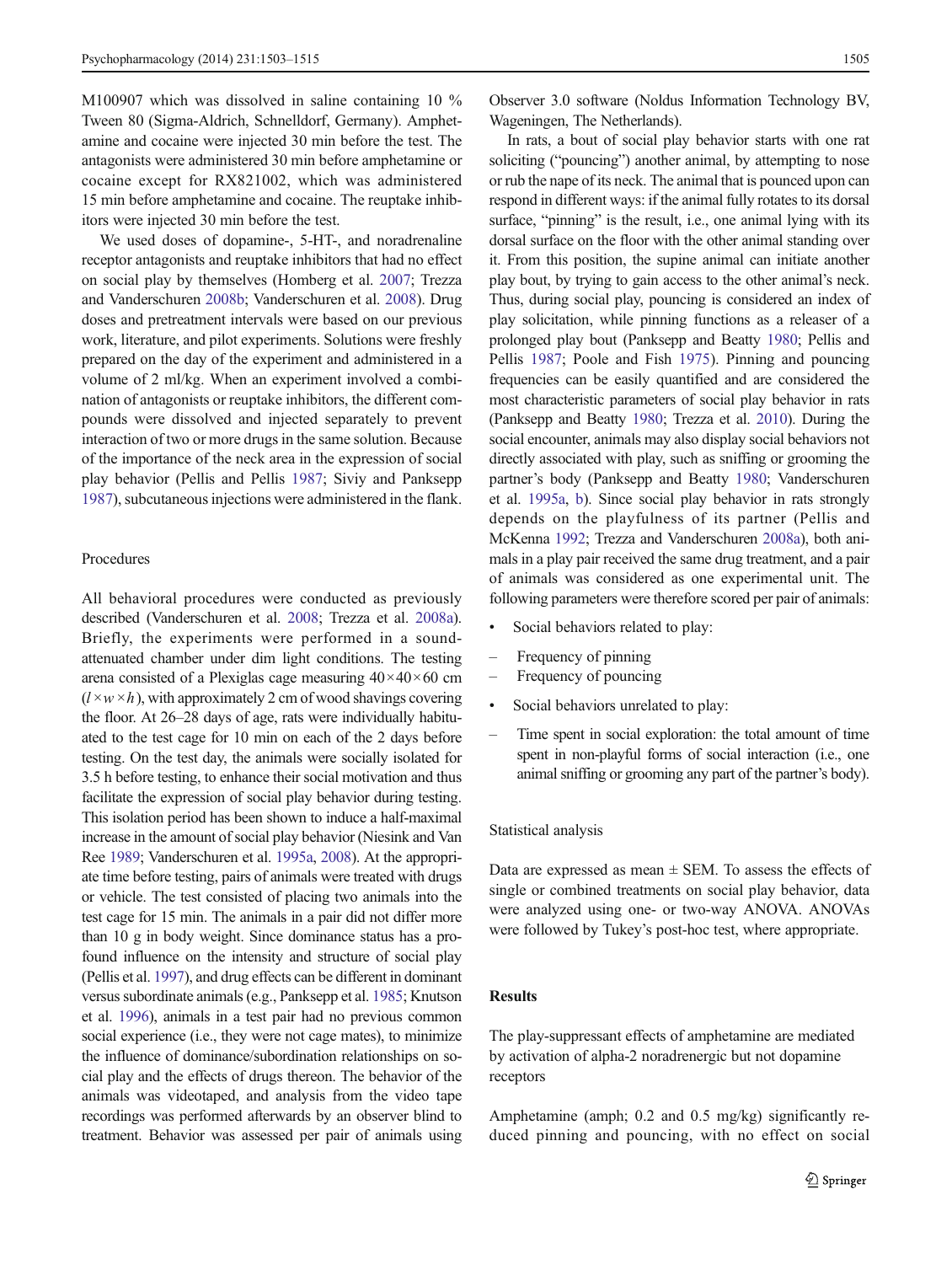M100907 which was dissolved in saline containing 10 % Tween 80 (Sigma-Aldrich, Schnelldorf, Germany). Amphetamine and cocaine were injected 30 min before the test. The antagonists were administered 30 min before amphetamine or cocaine except for RX821002, which was administered 15 min before amphetamine and cocaine. The reuptake inhibitors were injected 30 min before the test.

We used doses of dopamine-, 5-HT-, and noradrenaline receptor antagonists and reuptake inhibitors that had no effect on social play by themselves (Homberg et al. [2007;](#page-11-0) Trezza and Vanderschuren [2008b;](#page-12-0) Vanderschuren et al. [2008\)](#page-12-0). Drug doses and pretreatment intervals were based on our previous work, literature, and pilot experiments. Solutions were freshly prepared on the day of the experiment and administered in a volume of 2 ml/kg. When an experiment involved a combination of antagonists or reuptake inhibitors, the different compounds were dissolved and injected separately to prevent interaction of two or more drugs in the same solution. Because of the importance of the neck area in the expression of social play behavior (Pellis and Pellis [1987;](#page-11-0) Siviy and Panksepp [1987\)](#page-12-0), subcutaneous injections were administered in the flank.

#### Procedures

All behavioral procedures were conducted as previously described (Vanderschuren et al. [2008](#page-12-0); Trezza et al. [2008a\)](#page-12-0). Briefly, the experiments were performed in a soundattenuated chamber under dim light conditions. The testing arena consisted of a Plexiglas cage measuring  $40 \times 40 \times 60$  cm  $(l \times w \times h)$ , with approximately 2 cm of wood shavings covering the floor. At 26–28 days of age, rats were individually habituated to the test cage for 10 min on each of the 2 days before testing. On the test day, the animals were socially isolated for 3.5 h before testing, to enhance their social motivation and thus facilitate the expression of social play behavior during testing. This isolation period has been shown to induce a half-maximal increase in the amount of social play behavior (Niesink and Van Ree [1989;](#page-11-0) Vanderschuren et al. [1995a,](#page-12-0) [2008\)](#page-12-0). At the appropriate time before testing, pairs of animals were treated with drugs or vehicle. The test consisted of placing two animals into the test cage for 15 min. The animals in a pair did not differ more than 10 g in body weight. Since dominance status has a profound influence on the intensity and structure of social play (Pellis et al. [1997](#page-11-0)), and drug effects can be different in dominant versus subordinate animals (e.g., Panksepp et al. [1985](#page-11-0); Knutson et al. [1996](#page-11-0)), animals in a test pair had no previous common social experience (i.e., they were not cage mates), to minimize the influence of dominance/subordination relationships on social play and the effects of drugs thereon. The behavior of the animals was videotaped, and analysis from the video tape recordings was performed afterwards by an observer blind to treatment. Behavior was assessed per pair of animals using Observer 3.0 software (Noldus Information Technology BV, Wageningen, The Netherlands).

In rats, a bout of social play behavior starts with one rat soliciting ("pouncing") another animal, by attempting to nose or rub the nape of its neck. The animal that is pounced upon can respond in different ways: if the animal fully rotates to its dorsal surface, "pinning" is the result, i.e., one animal lying with its dorsal surface on the floor with the other animal standing over it. From this position, the supine animal can initiate another play bout, by trying to gain access to the other animal's neck. Thus, during social play, pouncing is considered an index of play solicitation, while pinning functions as a releaser of a prolonged play bout (Panksepp and Beatty [1980](#page-11-0); Pellis and Pellis [1987;](#page-11-0) Poole and Fish [1975](#page-11-0)). Pinning and pouncing frequencies can be easily quantified and are considered the most characteristic parameters of social play behavior in rats (Panksepp and Beatty [1980;](#page-11-0) Trezza et al. [2010\)](#page-12-0). During the social encounter, animals may also display social behaviors not directly associated with play, such as sniffing or grooming the partner's body (Panksepp and Beatty [1980;](#page-11-0) Vanderschuren et al. [1995a,](#page-12-0) [b](#page-12-0)). Since social play behavior in rats strongly depends on the playfulness of its partner (Pellis and McKenna [1992](#page-11-0); Trezza and Vanderschuren [2008a\)](#page-12-0), both animals in a play pair received the same drug treatment, and a pair of animals was considered as one experimental unit. The following parameters were therefore scored per pair of animals:

- Social behaviors related to play:
- Frequency of pinning
- Frequency of pouncing
- Social behaviors unrelated to play:
- Time spent in social exploration: the total amount of time spent in non-playful forms of social interaction (i.e., one animal sniffing or grooming any part of the partner's body).

#### Statistical analysis

Data are expressed as mean  $\pm$  SEM. To assess the effects of single or combined treatments on social play behavior, data were analyzed using one- or two-way ANOVA. ANOVAs were followed by Tukey's post-hoc test, where appropriate.

# Results

The play-suppressant effects of amphetamine are mediated by activation of alpha-2 noradrenergic but not dopamine receptors

Amphetamine (amph; 0.2 and 0.5 mg/kg) significantly reduced pinning and pouncing, with no effect on social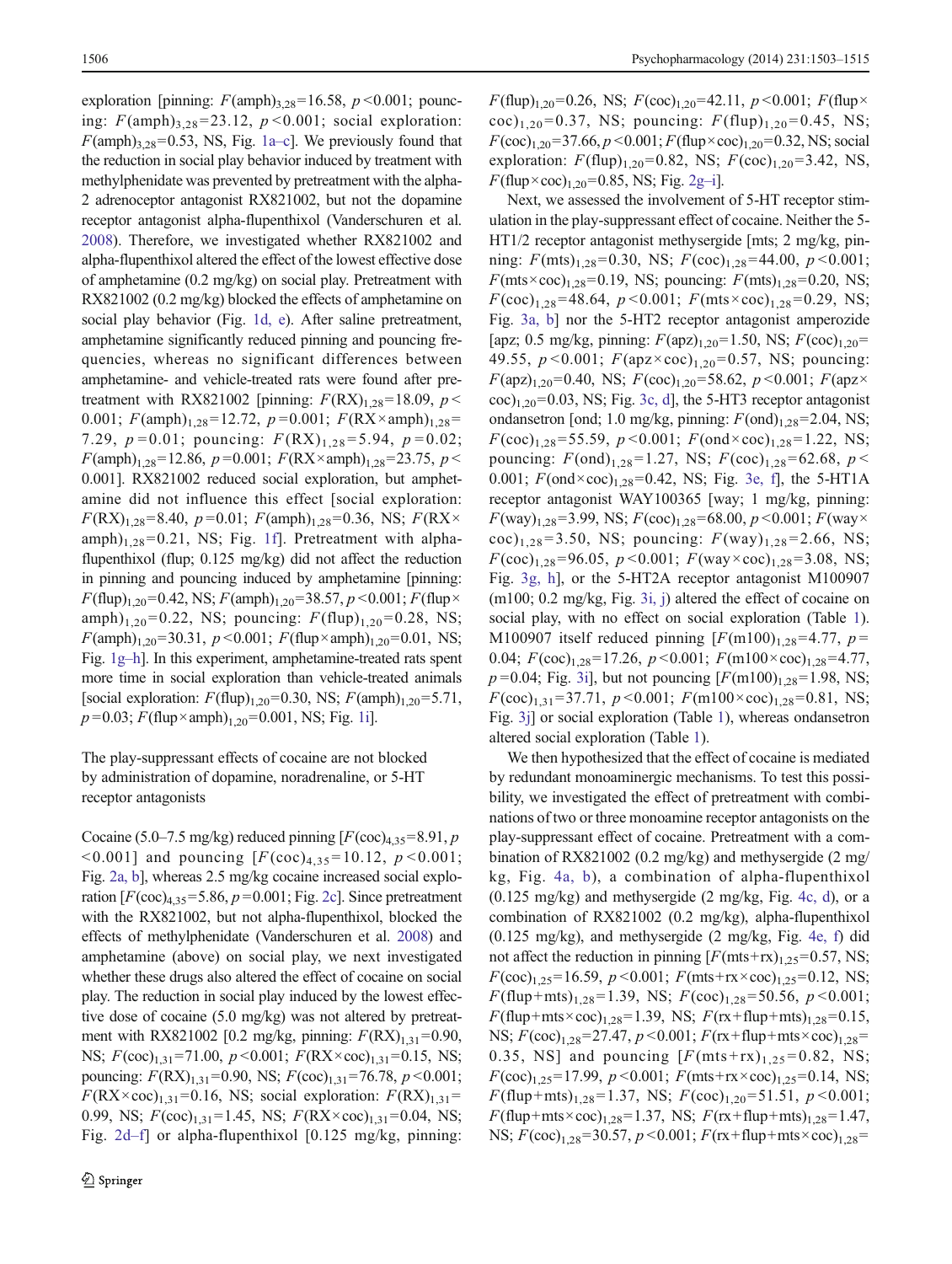exploration [pinning:  $F(\text{amph})_{3,28}$ =16.58,  $p$  <0.001; pouncing:  $F(\text{amph})$ <sub>3,28</sub>=23.12, p < 0.001; social exploration:  $F(\text{amph})_{3,28}$ =0.53, NS, Fig. [1a](#page-4-0)–c]. We previously found that the reduction in social play behavior induced by treatment with methylphenidate was prevented by pretreatment with the alpha-2 adrenoceptor antagonist RX821002, but not the dopamine receptor antagonist alpha-flupenthixol (Vanderschuren et al. [2008\)](#page-12-0). Therefore, we investigated whether RX821002 and alpha-flupenthixol altered the effect of the lowest effective dose of amphetamine (0.2 mg/kg) on social play. Pretreatment with RX821002 (0.2 mg/kg) blocked the effects of amphetamine on social play behavior (Fig. [1d, e\)](#page-4-0). After saline pretreatment, amphetamine significantly reduced pinning and pouncing frequencies, whereas no significant differences between amphetamine- and vehicle-treated rats were found after pretreatment with RX821002 [pinning:  $F(RX)_{1,28}$ =18.09,  $p$  < 0.001;  $F(\text{amph})_{1,28}$ =12.72,  $p = 0.001$ ;  $F(RX \times \text{amph})_{1,28}$ = 7.29,  $p = 0.01$ ; pouncing:  $F(RX)_{1,28} = 5.94$ ,  $p = 0.02$ ;  $F(\text{amph})_{1.28}$ =12.86, p=0.001;  $F(RX \times \text{amph})_{1.28}$ =23.75, p < 0.001]. RX821002 reduced social exploration, but amphetamine did not influence this effect [social exploration:  $F(RX)_{1,28}=8.40, p=0.01; F(amph)_{1,28}=0.36, NS; F(RX\times$  $amph)$ <sub>1,28</sub>=0.21, NS; Fig. [1f\]](#page-4-0). Pretreatment with alphaflupenthixol (flup; 0.125 mg/kg) did not affect the reduction in pinning and pouncing induced by amphetamine [pinning:  $F$ (flup)<sub>1,20</sub>=0.42, NS;  $F$ (amph)<sub>1,20</sub>=38.57,  $p$  <0.001;  $F$ (flup× amph)<sub>1,20</sub>=0.22, NS; pouncing:  $F(\text{flip})_{1,20}$ =0.28, NS;  $F(\text{amph})_{1,20}$ =30.31,  $p < 0.001$ ;  $F(\text{flup} \times \text{amph})_{1,20}$ =0.01, NS; Fig. [1g](#page-4-0)–h]. In this experiment, amphetamine-treated rats spent more time in social exploration than vehicle-treated animals [social exploration:  $F(\text{flup})_{1,20} = 0.30$ , NS;  $F(\text{amph})_{1,20} = 5.71$ ,  $p=0.03; F(\text{flup}\times\text{amph})_{1.20}=0.001, \text{NS}; \text{Fig. 1i}].$  $p=0.03; F(\text{flup}\times\text{amph})_{1.20}=0.001, \text{NS}; \text{Fig. 1i}].$  $p=0.03; F(\text{flup}\times\text{amph})_{1.20}=0.001, \text{NS}; \text{Fig. 1i}].$ 

The play-suppressant effects of cocaine are not blocked by administration of dopamine, noradrenaline, or 5-HT receptor antagonists

Cocaine (5.0–7.5 mg/kg) reduced pinning  $[F(\text{coc})_{4,35} = 8.91, p$  $\leq 0.001$ ] and pouncing  $[F(\text{coc})_{4,35} = 10.12, p \leq 0.001;$ Fig. [2a, b](#page-5-0)], whereas 2.5 mg/kg cocaine increased social exploration  $[F(\text{coc})_{4,35} = 5.86, p = 0.001;$  Fig. [2c\]](#page-5-0). Since pretreatment with the RX821002, but not alpha-flupenthixol, blocked the effects of methylphenidate (Vanderschuren et al. [2008\)](#page-12-0) and amphetamine (above) on social play, we next investigated whether these drugs also altered the effect of cocaine on social play. The reduction in social play induced by the lowest effective dose of cocaine (5.0 mg/kg) was not altered by pretreatment with RX821002 [0.2 mg/kg, pinning:  $F(RX)_{1,31} = 0.90$ , NS;  $F(\text{coc})_{1,31} = 71.00, p \le 0.001$ ;  $F(\text{RX} \times \text{coc})_{1,31} = 0.15, \text{NS}$ ; pouncing:  $F(RX)_{1,31}$ =0.90, NS;  $F(\text{coc})_{1,31}$ =76.78,  $p$  <0.001;  $F(RX \times \text{coc})_{1,31} = 0.16$ , NS; social exploration:  $F(RX)_{1,31} =$ 0.99, NS;  $F(\text{coc})_{1,31} = 1.45$ , NS;  $F(RX \times \text{coc})_{1,31} = 0.04$ , NS; Fig. [2d](#page-5-0)–f] or alpha-flupenthixol [0.125 mg/kg, pinning:

 $F$ (flup)<sub>1,20</sub>=0.26, NS;  $F$ (coc)<sub>1,20</sub>=42.11, p <0.001;  $F$ (flup× coc)<sub>1,20</sub>=0.37, NS; pouncing:  $F(\text{flup})_{1,20}$ =0.45, NS;  $F(\text{coc})_{1,20} = 37.66, p \le 0.001; F(\text{flip} \times \text{coc})_{1,20} = 0.32, \text{NS}; \text{social}$ exploration:  $F(\text{flup})_{1,20} = 0.82$ , NS;  $F(\text{coc})_{1,20} = 3.42$ , NS,  $F$ (flup×coc)<sub>1,20</sub>=0.85, NS; Fig. [2g](#page-5-0)-i].

Next, we assessed the involvement of 5-HT receptor stimulation in the play-suppressant effect of cocaine. Neither the 5- HT1/2 receptor antagonist methysergide [mts; 2 mg/kg, pinning:  $F(mts)_{1,28} = 0.30$ , NS;  $F(\text{coc})_{1,28} = 44.00$ ,  $p < 0.001$ ;  $F(mts \times \text{coc})_{1,28} = 0.19$ , NS; pouncing:  $F(mts)_{1,28} = 0.20$ , NS;  $F(\text{coc})_{1,28}$ =48.64,  $p < 0.001$ ;  $F(\text{mts} \times \text{coc})_{1,28}$ =0.29, NS; Fig. [3a, b\]](#page-6-0) nor the 5-HT2 receptor antagonist amperozide [apz; 0.5 mg/kg, pinning:  $F(\text{apz})_{1,20}$ =1.50, NS;  $F(\text{coc})_{1,20}$ = 49.55,  $p < 0.001$ ;  $F(\text{apz} \times \text{coc})_{1,20} = 0.57$ , NS; pouncing:  $F(\text{apz})_{1,20} = 0.40$ , NS;  $F(\text{coc})_{1,20} = 58.62$ ,  $p < 0.001$ ;  $F(\text{apz} \times$  $\rm{t}$  coc)<sub>1,20</sub>=0.03, NS; Fig. [3c, d](#page-6-0)], the 5-HT3 receptor antagonist ondansetron [ond; 1.0 mg/kg, pinning:  $F($ ond)<sub>1,28</sub>=2.04, NS;  $F(\text{coc})_{1,28}$ =55.59, p < 0.001;  $F(\text{ond} \times \text{coc})_{1,28}$ =1.22, NS; pouncing:  $F(\text{ond})_{1,28} = 1.27$ , NS;  $F(\text{coc})_{1,28} = 62.68$ ,  $p <$ 0.001;  $F(\text{ond} \times \text{coc})_{1,28} = 0.42$ , NS; Fig. [3e, f](#page-6-0)], the 5-HT1A receptor antagonist WAY100365 [way; 1 mg/kg, pinning:  $F(way)_{1,28} = 3.99$ , NS;  $F(\text{coc})_{1,28} = 68.00, p \le 0.001$ ;  $F(way \times$ coc)<sub>1,28</sub>=3.50, NS; pouncing:  $F(way)_{1,28}$ =2.66, NS;  $F(\text{coc})_{1,28} = 96.05, p \le 0.001; F(\text{way} \times \text{coc})_{1,28} = 3.08, \text{NS};$ Fig. [3g, h\]](#page-6-0), or the 5-HT2A receptor antagonist M100907 (m100; 0.2 mg/kg, Fig. [3i, j](#page-6-0)) altered the effect of cocaine on social play, with no effect on social exploration (Table [1\)](#page-7-0). M100907 itself reduced pinning  $[F(m100)_{1,28} = 4.77, p =$ 0.04;  $F(\text{coc})_{1,28}$ =17.26,  $p \le 0.001$ ;  $F(\text{m}100 \times \text{coc})_{1,28}$ =4.77,  $p=0.04$ ; Fig. [3i](#page-6-0)], but not pouncing  $[F(m100)_{1,28}=1.98, NS;$  $F(\text{coc})_{1,31} = 37.71, p \le 0.001; F(\text{m}100 \times \text{coc})_{1,28} = 0.81, \text{NS};$ Fig. [3j\]](#page-6-0) or social exploration (Table [1\)](#page-7-0), whereas ondansetron altered social exploration (Table [1\)](#page-7-0).

We then hypothesized that the effect of cocaine is mediated by redundant monoaminergic mechanisms. To test this possibility, we investigated the effect of pretreatment with combinations of two or three monoamine receptor antagonists on the play-suppressant effect of cocaine. Pretreatment with a combination of RX821002 (0.2 mg/kg) and methysergide (2 mg/ kg, Fig. [4a, b](#page-8-0)), a combination of alpha-flupenthixol (0.125 mg/kg) and methysergide (2 mg/kg, Fig. [4c, d\)](#page-8-0), or a combination of RX821002 (0.2 mg/kg), alpha-flupenthixol (0.125 mg/kg), and methysergide (2 mg/kg, Fig. [4e, f\)](#page-8-0) did not affect the reduction in pinning  $[F(mts+rx)_{1,25}=0.57, NS;$  $F(\text{coc})_{1,25}$ =16.59,  $p$  < 0.001;  $F(\text{mts+rx} \times \text{coc})_{1,25}$ =0.12, NS;  $F(\text{flup}+\text{mts})_{1,28}$ =1.39, NS;  $F(\text{coc})_{1,28}$ =50.56,  $p$ <0.001;  $F(\text{flup}+\text{mts}\times\text{coc})_{1,28}=1.39$ , NS;  $F(\text{rx+flup}+\text{mts})_{1,28}=0.15$ , NS;  $F(\text{coc})_{1,28} = 27.47, p < 0.001$ ;  $F(\text{rx+flip+mts} \times \text{coc})_{1,28} =$ 0.35, NS] and pouncing  $[F(mts + rx)_{1,25} = 0.82, \text{NS};$  $F(\text{coc})_{1,25}$ =17.99,  $p$  < 0.001;  $F(\text{mts+rx} \times \text{coc})_{1,25}$ =0.14, NS;  $F$ (flup+mts)<sub>1,28</sub>=1.37, NS;  $F$ (coc)<sub>1,20</sub>=51.51, p <0.001;  $F$ (flup+mts×coc)<sub>1,28</sub>=1.37, NS;  $F$ (rx+flup+mts)<sub>1,28</sub>=1.47, NS;  $F(\text{coc})_{1,28}$ =30.57,  $p < 0.001$ ;  $F(\text{rx+flip+mts} \times \text{coc})_{1,28}$ =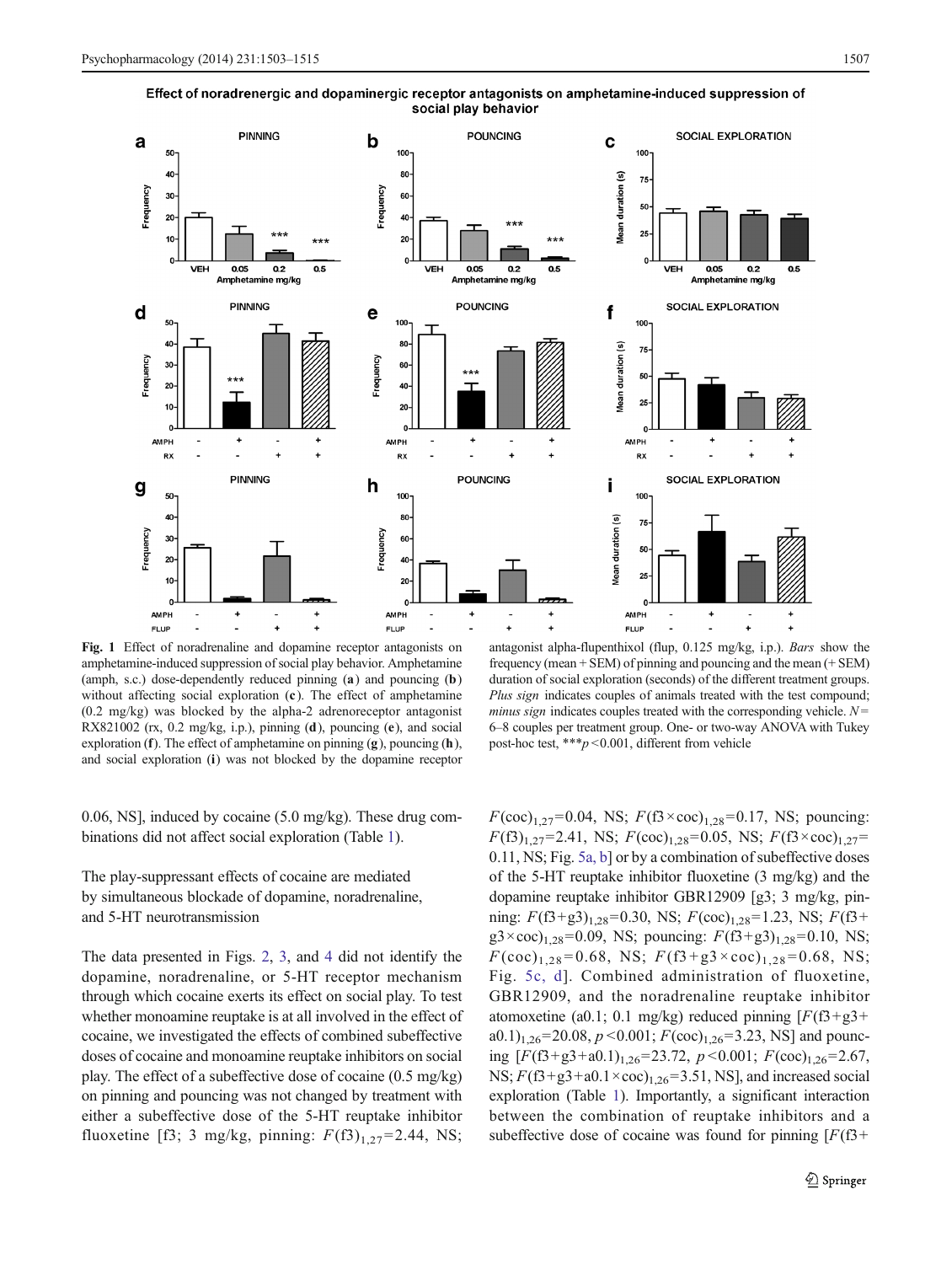

<span id="page-4-0"></span>Effect of noradrenergic and dopaminergic receptor antagonists on amphetamine-induced suppression of social play behavior

Fig. 1 Effect of noradrenaline and dopamine receptor antagonists on amphetamine-induced suppression of social play behavior. Amphetamine (amph, s.c.) dose-dependently reduced pinning (a) and pouncing (b) without affecting social exploration (c). The effect of amphetamine (0.2 mg/kg) was blocked by the alpha-2 adrenoreceptor antagonist RX821002 (rx, 0.2 mg/kg, i.p.), pinning (d), pouncing (e), and social exploration (f). The effect of amphetamine on pinning  $(g)$ , pouncing  $(h)$ , and social exploration (i) was not blocked by the dopamine receptor

0.06, NS], induced by cocaine (5.0 mg/kg). These drug combinations did not affect social exploration (Table [1](#page-7-0)).

The play-suppressant effects of cocaine are mediated by simultaneous blockade of dopamine, noradrenaline, and 5-HT neurotransmission

The data presented in Figs. [2,](#page-5-0) [3,](#page-6-0) and [4](#page-8-0) did not identify the dopamine, noradrenaline, or 5-HT receptor mechanism through which cocaine exerts its effect on social play. To test whether monoamine reuptake is at all involved in the effect of cocaine, we investigated the effects of combined subeffective doses of cocaine and monoamine reuptake inhibitors on social play. The effect of a subeffective dose of cocaine (0.5 mg/kg) on pinning and pouncing was not changed by treatment with either a subeffective dose of the 5-HT reuptake inhibitor fluoxetine [f3; 3 mg/kg, pinning:  $F(f3)_{1,27} = 2.44$ , NS;

antagonist alpha-flupenthixol (flup, 0.125 mg/kg, i.p.). Bars show the frequency (mean + SEM) of pinning and pouncing and the mean (+ SEM) duration of social exploration (seconds) of the different treatment groups. Plus sign indicates couples of animals treated with the test compound; *minus sign* indicates couples treated with the corresponding vehicle.  $N =$ 6–8 couples per treatment group. One- or two-way ANOVA with Tukey post-hoc test, \*\*\*p <0.001, different from vehicle

 $F(\text{coc})_{1,27}$ =0.04, NS;  $F(\text{f3} \times \text{coc})_{1,28}$ =0.17, NS; pouncing:  $F(\text{f3})_{1,27}$ =2.41, NS;  $F(\text{coc})_{1,28}$ =0.05, NS;  $F(\text{f3} \times \text{coc})_{1,27}$ = 0.11, NS; Fig. [5a, b](#page-9-0)] or by a combination of subeffective doses of the 5-HT reuptake inhibitor fluoxetine (3 mg/kg) and the dopamine reuptake inhibitor GBR12909 [g3; 3 mg/kg, pinning:  $F(\text{f3+g3})_{1,28}$ =0.30, NS;  $F(\text{coc})_{1,28}$ =1.23, NS;  $F(\text{f3+g3})_{1,28}$  $g3 \times \text{coc}_{1,28} = 0.09$ , NS; pouncing:  $F(5+g3)_{1,28} = 0.10$ , NS;  $F(\text{coc})_{1,28} = 0.68$ , NS;  $F(\text{f3}+\text{g3} \times \text{coc})_{1,28} = 0.68$ , NS; Fig. [5c, d](#page-9-0)]. Combined administration of fluoxetine, GBR12909, and the noradrenaline reuptake inhibitor atomoxetine (a0.1; 0.1 mg/kg) reduced pinning  $[F(5+g3+$ a0.1)<sub>1,26</sub>=20.08,  $p$  <0.001;  $F(\text{coc})_{1,26}$ =3.23, NS] and pouncing  $[F(\text{f3}+\text{g3}+\text{a0.1})_{1,26}=23.72, p<0.001; F(\text{coc})_{1,26}=2.67,$ NS;  $F(5+g3+a0.1\times \cos)_{1,26}=3.51$ , NS], and increased social exploration (Table [1](#page-7-0)). Importantly, a significant interaction between the combination of reuptake inhibitors and a subeffective dose of cocaine was found for pinning  $[F(1,3)]$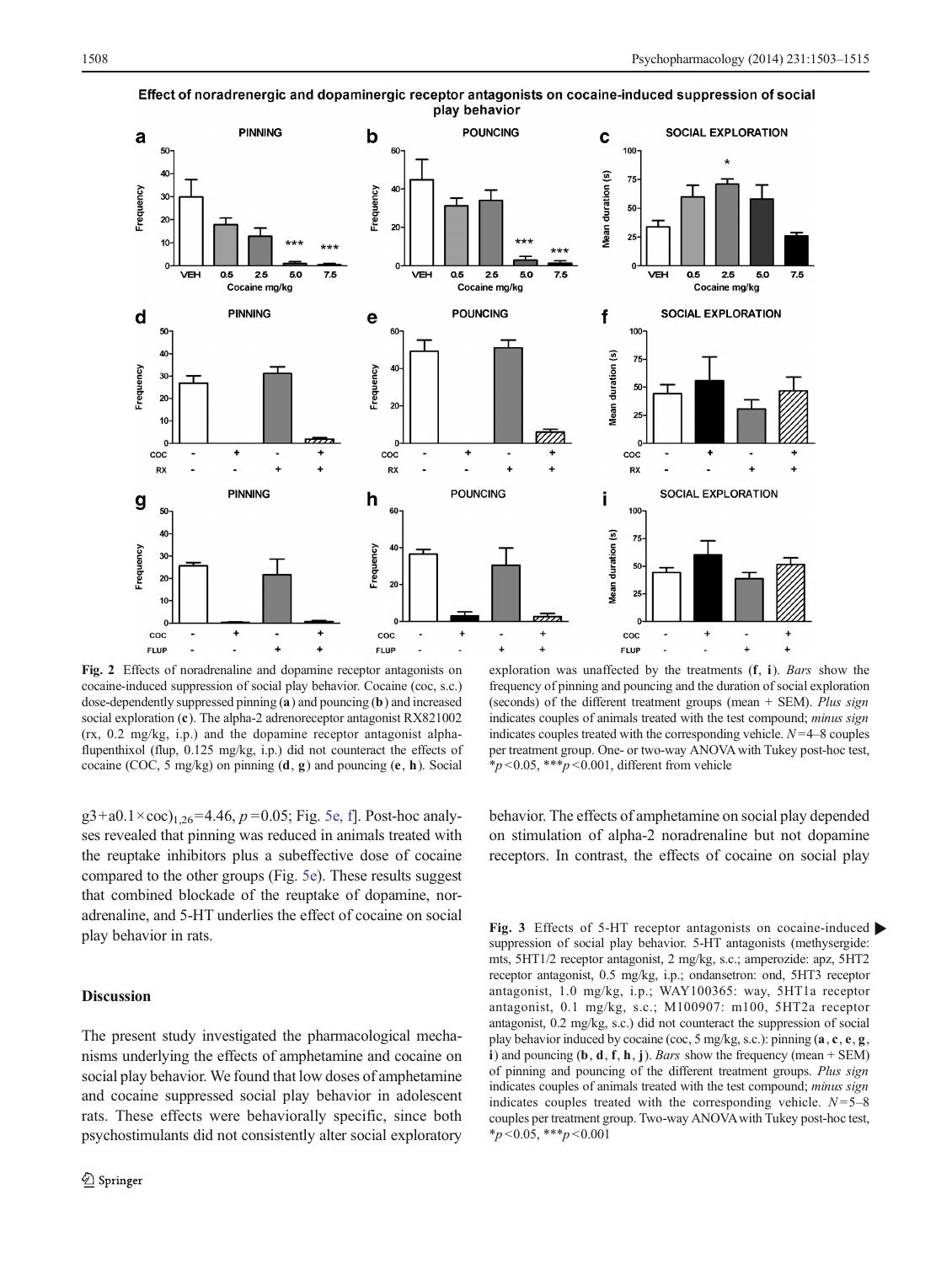

<span id="page-5-0"></span>Effect of noradrenergic and dopaminergic receptor antagonists on cocaine-induced suppression of social play behavior

Fig. 2 Effects of noradrenaline and dopamine receptor antagonists on cocaine-induced suppression of social play behavior. Cocaine (coc, s.c.) dose-dependently suppressed pinning (a) and pouncing (b) and increased social exploration (c). The alpha-2 adrenoreceptor antagonist RX821002 (rx, 0.2 mg/kg, i.p.) and the dopamine receptor antagonist alphaflupenthixol (flup, 0.125 mg/kg, i.p.) did not counteract the effects of cocaine (COC, 5 mg/kg) on pinning (d, g) and pouncing (e, h). Social

 $g3+a0.1\times$ coc)<sub>1,26</sub>=4.46, p=0.05; Fig. [5e, f\]](#page-9-0). Post-hoc analyses revealed that pinning was reduced in animals treated with the reuptake inhibitors plus a subeffective dose of cocaine compared to the other groups (Fig. [5e](#page-9-0)). These results suggest that combined blockade of the reuptake of dopamine, noradrenaline, and 5-HT underlies the effect of cocaine on social play behavior in rats.

# Discussion

The present study investigated the pharmacological mechanisms underlying the effects of amphetamine and cocaine on social play behavior. We found that low doses of amphetamine and cocaine suppressed social play behavior in adolescent rats. These effects were behaviorally specific, since both psychostimulants did not consistently alter social exploratory

exploration was unaffected by the treatments (f, <sup>i</sup>). Bars show the frequency of pinning and pouncing and the duration of social exploration (seconds) of the different treatment groups (mean + SEM). Plus sign indicates couples of animals treated with the test compound; *minus sign* indicates couples treated with the corresponding vehicle.  $N=4-8$  couples per treatment group. One- or two-way ANOVA with Tukey post-hoc test,  $*_{p}$  < 0.05, \*\*\*  $p$  < 0.001, different from vehicle

behavior. The effects of amphetamine on social play depended on stimulation of alpha-2 noradrenaline but not dopamine receptors. In contrast, the effects of cocaine on social play

Fig. 3 Effects of 5-HT receptor antagonists on cocaine-induced b suppression of social play behavior. 5-HT antagonists (methysergide: mts, 5HT1/2 receptor antagonist, 2 mg/kg, s.c.; amperozide: apz, 5HT2 receptor antagonist, 0.5 mg/kg, i.p.; ondansetron: ond, 5HT3 receptor antagonist, 1.0 mg/kg, i.p.; WAY100365: way, 5HT1a receptor antagonist, 0.1 mg/kg, s.c.; M100907: m100, 5HT2a receptor antagonist, 0.2 mg/kg, s.c.) did not counteract the suppression of social play behavior induced by cocaine (coc, 5 mg/kg, s.c.): pinning (a, c, e, g, i) and pouncing  $(b, d, f, h, j)$ . Bars show the frequency (mean + SEM) of pinning and pouncing of the different treatment groups. Plus sign indicates couples of animals treated with the test compound; minus sign indicates couples treated with the corresponding vehicle.  $N=5-8$ couples per treatment group. Two-way ANOVAwith Tukey post-hoc test,  $*_{p < 0.05,}$  \*\*\*p < 0.001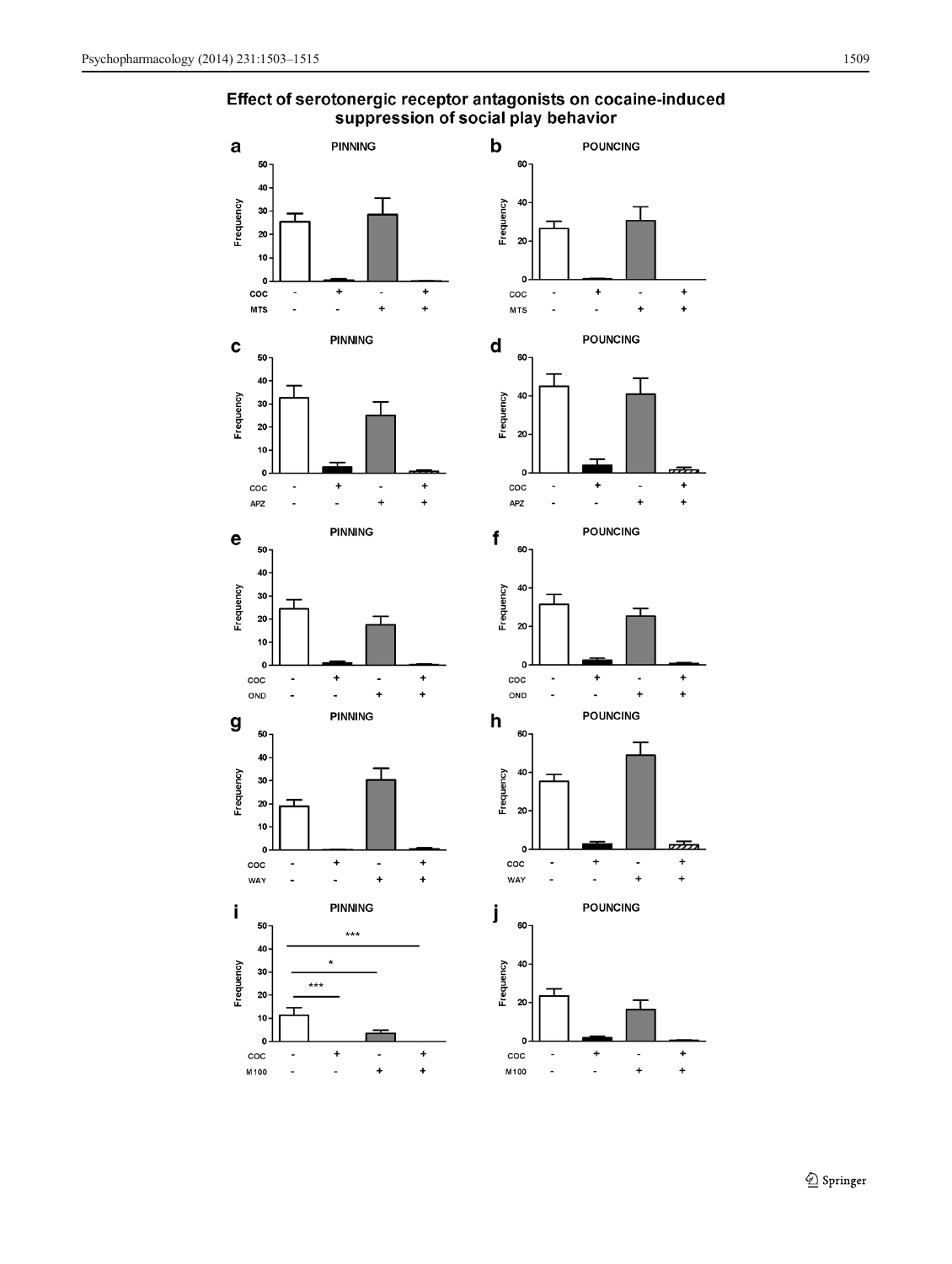# <span id="page-6-0"></span>Effect of serotonergic receptor antagonists on cocaine-induced suppression of social play behavior

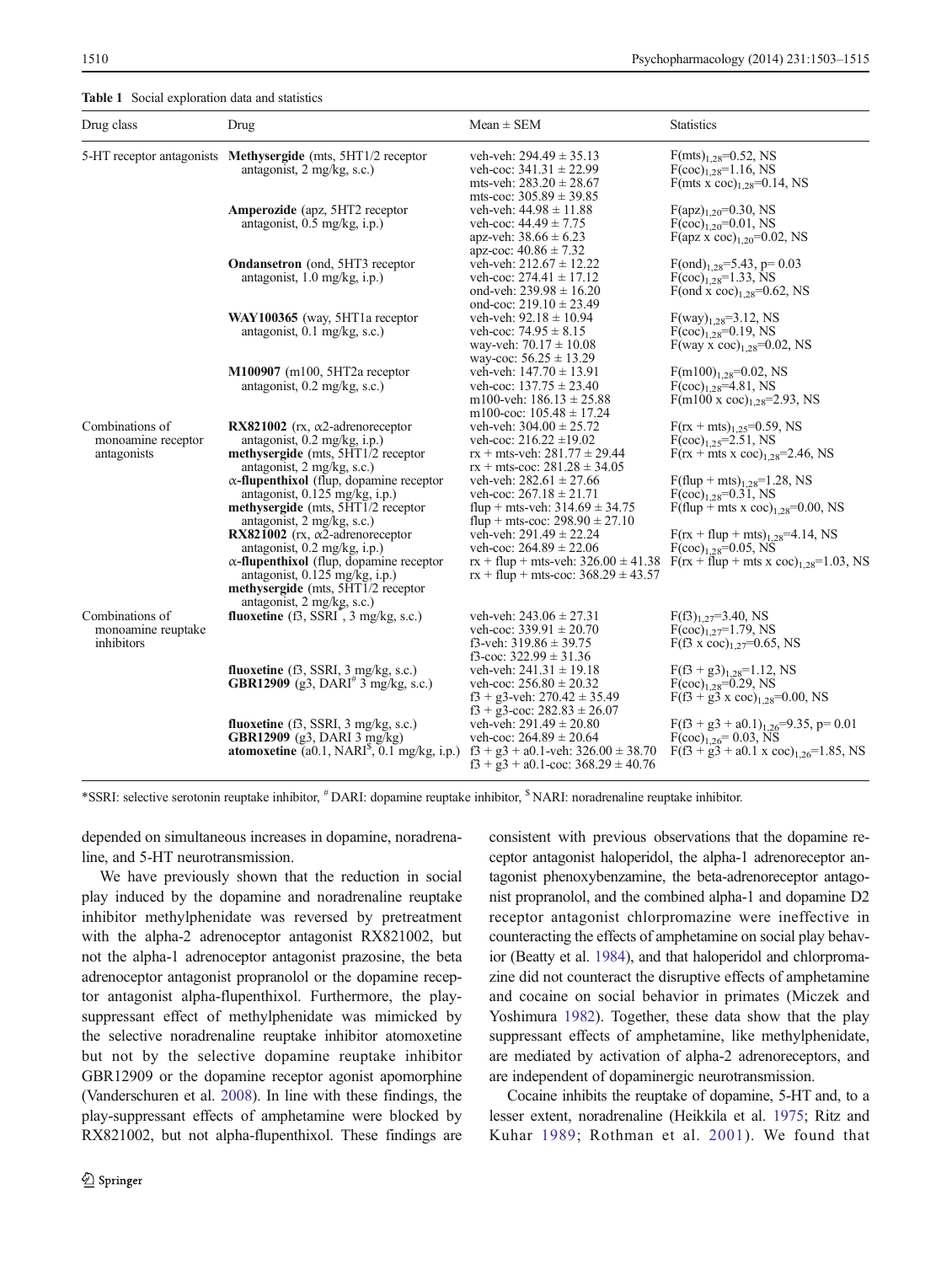<span id="page-7-0"></span>

| Drug class                                           | Drug                                                                                        | $Mean \pm SEM$                                                                         | <b>Statistics</b>                                                                |
|------------------------------------------------------|---------------------------------------------------------------------------------------------|----------------------------------------------------------------------------------------|----------------------------------------------------------------------------------|
|                                                      | 5-HT receptor antagonists Methysergide (mts, 5HT1/2 receptor                                | veh-veh: $294.49 \pm 35.13$                                                            | $F(mts)_{1,28} = 0.52$ , NS                                                      |
|                                                      | antagonist, $2 \text{ mg/kg}, \text{s.c.}$                                                  | veh-coc: $341.31 \pm 22.99$<br>mts-veh: $283.20 \pm 28.67$                             | $F(\text{coc})_{1,28} = 1.16$ , NS<br>F(mts x coc) <sub>1.28</sub> =0.14, NS     |
|                                                      | <b>Amperozide</b> (apz, 5HT2 receptor)                                                      | mts-coc: $305.89 \pm 39.85$<br>veh-veh: $44.98 \pm 11.88$                              | $F(apz)_{1.20} = 0.30$ , NS                                                      |
|                                                      | antagonist, $0.5 \text{ mg/kg}, i.p.$ )                                                     | veh-coc: $44.49 \pm 7.75$                                                              | $F(\text{coc})_{1,20} = 0.01$ , NS                                               |
|                                                      |                                                                                             | apz-veh: $38.66 \pm 6.23$                                                              | $F(\text{apz x coc})_{1,20} = 0.02$ , NS                                         |
|                                                      |                                                                                             | apz-coc: $40.86 \pm 7.32$                                                              |                                                                                  |
|                                                      | <b>Ondansetron</b> (ond, 5HT3 receptor                                                      | veh-veh: $212.67 \pm 12.22$                                                            | $F(ond)_{1,28} = 5.43$ , p= 0.03                                                 |
|                                                      | antagonist, 1.0 mg/kg, i.p.)                                                                | veh-coc: $274.41 \pm 17.12$                                                            | $F(\text{coc})_{1,28} = 1.33$ , NS                                               |
|                                                      |                                                                                             | ond-veh: $239.98 \pm 16.20$                                                            | F(ond x coc) <sub>1.28</sub> =0.62, NS                                           |
|                                                      |                                                                                             | ond-coc: $219.10 \pm 23.49$                                                            |                                                                                  |
|                                                      | WAY100365 (way, 5HT1a receptor                                                              | veh-veh: $92.18 \pm 10.94$                                                             | $F(way)_{1,28} = 3.12$ , NS                                                      |
|                                                      | antagonist, $0.1$ mg/kg, s.c.)                                                              | veh-coc: $74.95 \pm 8.15$                                                              | $F(\text{coc})_{1,28} = 0.19$ , NS                                               |
|                                                      |                                                                                             | way-veh: $70.17 \pm 10.08$<br>way-coc: $56.25 \pm 13.29$                               | F(way x coc) <sub>1.28</sub> =0.02, NS                                           |
|                                                      | $M100907$ (m100, 5HT2a receptor                                                             | veh-veh: $147.70 \pm 13.91$                                                            | $F(m100)_{1,28}=0.02$ , NS                                                       |
|                                                      | antagonist, 0.2 mg/kg, s.c.)                                                                | veh-coc: $137.75 \pm 23.40$                                                            | $F(\text{coc})_{1,28} = 4.81$ , NS                                               |
|                                                      |                                                                                             | m100-veh: $186.13 \pm 25.88$                                                           | $F(m100 \times coc)_{1,28} = 2.93$ , NS                                          |
|                                                      |                                                                                             | m100-coc: $105.48 \pm 17.24$                                                           |                                                                                  |
| Combinations of<br>monoamine receptor<br>antagonists | RX821002 ( $rx$ , $\alpha$ 2-adrenoreceptor                                                 | veh-veh: $304.00 \pm 25.72$                                                            | $F(rx + mts)_{1.25} = 0.59$ , NS                                                 |
|                                                      | antagonist, $0.2 \text{ mg/kg}, i.p.$ )                                                     | veh-coc: $216.22 \pm 19.02$                                                            | $F(\text{coc})_{1,25} = 2.51$ , NS                                               |
|                                                      | methysergide (mts, 5HT1/2 receptor                                                          | $rx + mts$ -veh: $281.77 \pm 29.44$                                                    | $F(rx + mts x coc)1.28=2.46, NS$                                                 |
|                                                      | antagonist, 2 mg/kg, s.c.)                                                                  | $rx + mts$ -coc: $281.28 \pm 34.05$                                                    |                                                                                  |
|                                                      | $\alpha$ -flupenthixol (flup, dopamine receptor<br>antagonist, $0.125 \text{ mg/kg}, i.p.)$ | veh-veh: $282.61 \pm 27.66$<br>veh-coc: $267.18 \pm 21.71$                             | $F$ (flup + mts) <sub>1.28</sub> =1.28, NS<br>$F(\text{coc})_{1,28} = 0.31$ , NS |
|                                                      | methysergide (mts, 5HT1/2 receptor                                                          | flup + mts-veh: $314.69 \pm 34.75$                                                     | $F$ (flup + mts x coc) <sub>1,28</sub> =0.00, NS                                 |
|                                                      | antagonist, 2 mg/kg, s.c.)                                                                  | flup + mts-coc: $298.90 \pm 27.10$                                                     |                                                                                  |
|                                                      | RX821002 (rx, $\alpha$ 2-adrenoreceptor                                                     | veh-veh: $291.49 \pm 22.24$                                                            | $F(rx + flup + mts)_{1,28} = 4.14$ , NS                                          |
|                                                      | antagonist, $0.2 \text{ mg/kg}, i.p.$ )                                                     | veh-coc: $264.89 \pm 22.06$                                                            | $F(\text{coc})_{1.28} = 0.05$ , NS                                               |
|                                                      | $\alpha$ -flupenthixol (flup, dopamine receptor                                             | $rx + flup + mts-veh$ : 326.00 $\pm$ 41.38                                             | $F(rx + flup + mts x coc)1.28=1.03$ , NS                                         |
|                                                      | antagonist, $0.125 \text{ mg/kg}, i.p.)$                                                    | $rx + fly + mts-coc$ : 368.29 ± 43.57                                                  |                                                                                  |
|                                                      | methysergide (mts, 5HT1/2 receptor                                                          |                                                                                        |                                                                                  |
|                                                      | antagonist, $2 \text{ mg/kg}, \text{s.c.}$                                                  |                                                                                        |                                                                                  |
| Combinations of<br>monoamine reuptake<br>inhibitors  | fluoxetine $(13, \text{SSRI}^{\dagger}, 3 \text{ mg/kg}, \text{ s.c.})$                     | veh-veh: $243.06 \pm 27.31$<br>veh-coc: $339.91 \pm 20.70$                             | $F(\text{f3})_{1.27} = 3.40$ , NS<br>$F(\text{coc})_{1.27} = 1.79$ , NS          |
|                                                      |                                                                                             | f3-veh: $319.86 \pm 39.75$                                                             | $F(13 \times \text{coc})_{1.27} = 0.65$ , NS                                     |
|                                                      |                                                                                             | f3-coc: $322.99 \pm 31.36$                                                             |                                                                                  |
|                                                      | fluoxetine $(3,$ SSRI, $3$ mg/kg, s.c.)                                                     | veh-veh: $241.31 \pm 19.18$                                                            | $F(5^3 + g3)_{1,28} = 1.12$ , NS                                                 |
|                                                      | <b>GBR12909</b> (g3, DARI <sup>#</sup> 3 mg/kg, s.c.)                                       | veh-coc: $256.80 \pm 20.32$                                                            | $F(\text{coc})_{1,28} = 0.29$ , NS                                               |
|                                                      |                                                                                             | $f3 + g3$ -veh: $270.42 \pm 35.49$                                                     | $F(53 + g3 \times \text{coc})_{1,28} = 0.00, \text{NS}$                          |
|                                                      |                                                                                             | $f3 + g3$ -coc: 282.83 $\pm$ 26.07                                                     |                                                                                  |
|                                                      | fluoxetine $(13, \text{SSRI}, 3 \text{ mg/kg}, \text{s.c.})$                                | veh-veh: $291.49 \pm 20.80$                                                            | $F(f3 + g3 + a0.1)_{1.26} = 9.35$ , p= 0.01                                      |
|                                                      | <b>GBR12909</b> (g3, DARI 3 mg/kg)                                                          | veh-coc: $264.89 \pm 20.64$                                                            | $F(\text{coc})_{1,26} = 0.03$ , NS                                               |
|                                                      | <b>atomoxetine</b> (a0.1, NARI <sup><math>\text{S}</math></sup> , 0.1 mg/kg, i.p.)          | $f3 + g3 + a0.1$ -veh: $326.00 \pm 38.70$<br>$f3 + g3 + a0.1$ -coc: $368.29 \pm 40.76$ | $F(f3 + g3 + a0.1 \times coc)_{1,26} = 1.85$ , NS                                |

\*SSRI: selective serotonin reuptake inhibitor, # DARI: dopamine reuptake inhibitor, \$ NARI: noradrenaline reuptake inhibitor.

depended on simultaneous increases in dopamine, noradrenaline, and 5-HT neurotransmission.

We have previously shown that the reduction in social play induced by the dopamine and noradrenaline reuptake inhibitor methylphenidate was reversed by pretreatment with the alpha-2 adrenoceptor antagonist RX821002, but not the alpha-1 adrenoceptor antagonist prazosine, the beta adrenoceptor antagonist propranolol or the dopamine receptor antagonist alpha-flupenthixol. Furthermore, the playsuppressant effect of methylphenidate was mimicked by the selective noradrenaline reuptake inhibitor atomoxetine but not by the selective dopamine reuptake inhibitor GBR12909 or the dopamine receptor agonist apomorphine (Vanderschuren et al. [2008\)](#page-12-0). In line with these findings, the play-suppressant effects of amphetamine were blocked by RX821002, but not alpha-flupenthixol. These findings are consistent with previous observations that the dopamine receptor antagonist haloperidol, the alpha-1 adrenoreceptor antagonist phenoxybenzamine, the beta-adrenoreceptor antagonist propranolol, and the combined alpha-1 and dopamine D2 receptor antagonist chlorpromazine were ineffective in counteracting the effects of amphetamine on social play behavior (Beatty et al. [1984](#page-11-0)), and that haloperidol and chlorpromazine did not counteract the disruptive effects of amphetamine and cocaine on social behavior in primates (Miczek and Yoshimura [1982](#page-11-0)). Together, these data show that the play suppressant effects of amphetamine, like methylphenidate, are mediated by activation of alpha-2 adrenoreceptors, and are independent of dopaminergic neurotransmission.

Cocaine inhibits the reuptake of dopamine, 5-HT and, to a lesser extent, noradrenaline (Heikkila et al. [1975](#page-11-0); Ritz and Kuhar [1989;](#page-11-0) Rothman et al. [2001\)](#page-11-0). We found that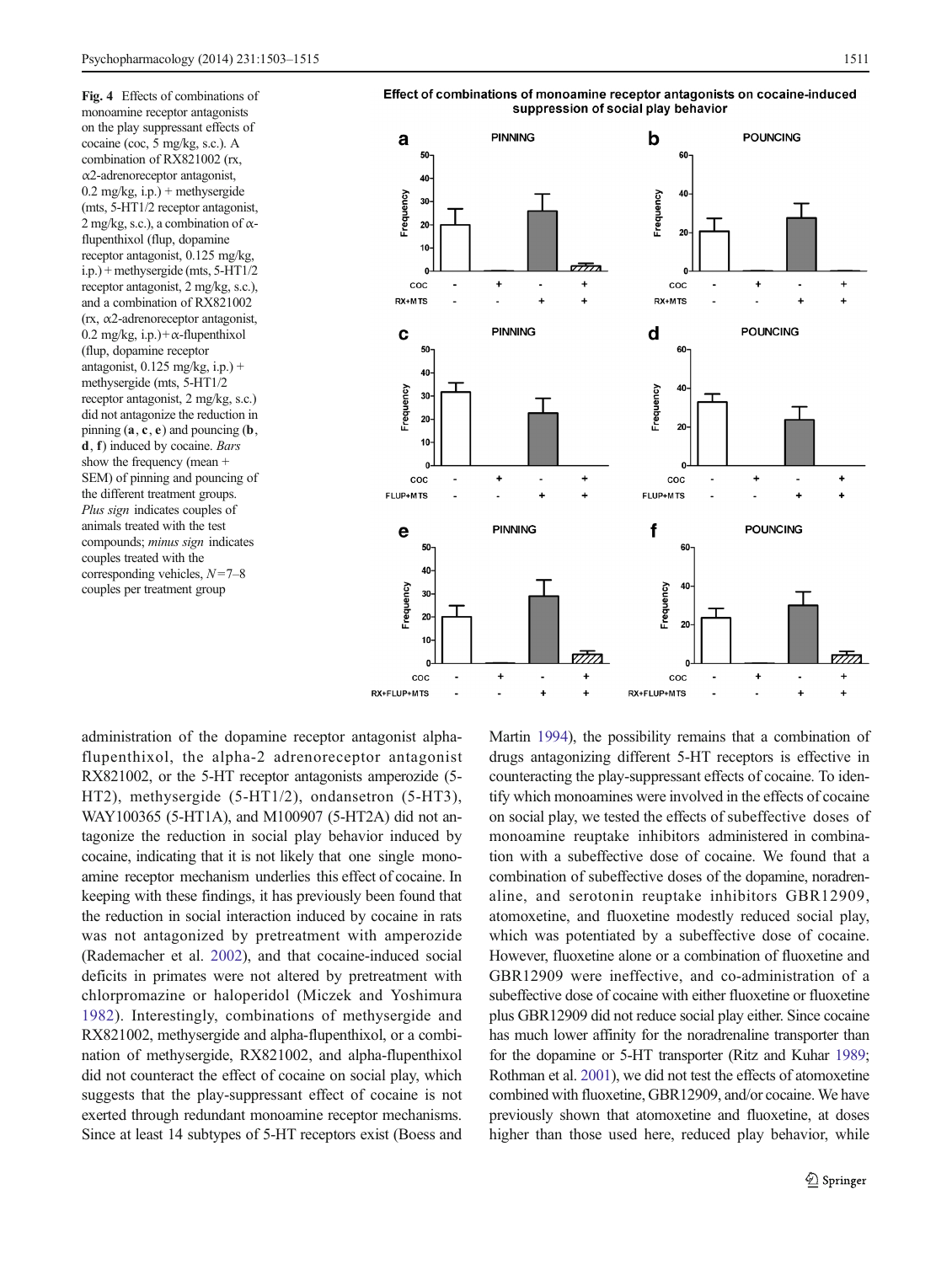<span id="page-8-0"></span>Fig. 4 Effects of combinations of monoamine receptor antagonists on the play suppressant effects of cocaine (coc, 5 mg/kg, s.c.). A combination of RX821002 (rx, α2-adrenoreceptor antagonist, 0.2 mg/kg, i.p.) + methysergide (mts, 5-HT1/2 receptor antagonist, 2 mg/kg, s.c.), a combination of  $\alpha$ flupenthixol (flup, dopamine receptor antagonist, 0.125 mg/kg, i.p.) + methysergide (mts, 5-HT1/2 receptor antagonist, 2 mg/kg, s.c.), and a combination of RX821002 (rx, α2-adrenoreceptor antagonist, 0.2 mg/kg, i.p.)+ $\alpha$ -flupenthixol (flup, dopamine receptor antagonist,  $0.125$  mg/kg, i.p.) + methysergide (mts, 5-HT1/2 receptor antagonist, 2 mg/kg, s.c.) did not antagonize the reduction in pinning  $(a, c, e)$  and pouncing  $(b, d)$ d, f) induced by cocaine. Bars show the frequency (mean + SEM) of pinning and pouncing of the different treatment groups. Plus sign indicates couples of animals treated with the test compounds; minus sign indicates couples treated with the corresponding vehicles,  $N=7-8$ couples per treatment group



Effect of combinations of monoamine receptor antagonists on cocaine-induced suppression of social play behavior

administration of the dopamine receptor antagonist alphaflupenthixol, the alpha-2 adrenoreceptor antagonist RX821002, or the 5-HT receptor antagonists amperozide (5- HT2), methysergide (5-HT1/2), ondansetron (5-HT3), WAY100365 (5-HT1A), and M100907 (5-HT2A) did not antagonize the reduction in social play behavior induced by cocaine, indicating that it is not likely that one single monoamine receptor mechanism underlies this effect of cocaine. In keeping with these findings, it has previously been found that the reduction in social interaction induced by cocaine in rats was not antagonized by pretreatment with amperozide (Rademacher et al. [2002\)](#page-11-0), and that cocaine-induced social deficits in primates were not altered by pretreatment with chlorpromazine or haloperidol (Miczek and Yoshimura [1982\)](#page-11-0). Interestingly, combinations of methysergide and RX821002, methysergide and alpha-flupenthixol, or a combination of methysergide, RX821002, and alpha-flupenthixol did not counteract the effect of cocaine on social play, which suggests that the play-suppressant effect of cocaine is not exerted through redundant monoamine receptor mechanisms. Since at least 14 subtypes of 5-HT receptors exist (Boess and Martin [1994](#page-11-0)), the possibility remains that a combination of drugs antagonizing different 5-HT receptors is effective in counteracting the play-suppressant effects of cocaine. To identify which monoamines were involved in the effects of cocaine on social play, we tested the effects of subeffective doses of monoamine reuptake inhibitors administered in combination with a subeffective dose of cocaine. We found that a combination of subeffective doses of the dopamine, noradrenaline, and serotonin reuptake inhibitors GBR12909, atomoxetine, and fluoxetine modestly reduced social play, which was potentiated by a subeffective dose of cocaine. However, fluoxetine alone or a combination of fluoxetine and GBR12909 were ineffective, and co-administration of a subeffective dose of cocaine with either fluoxetine or fluoxetine plus GBR12909 did not reduce social play either. Since cocaine has much lower affinity for the noradrenaline transporter than for the dopamine or 5-HT transporter (Ritz and Kuhar [1989;](#page-11-0) Rothman et al. [2001](#page-11-0)), we did not test the effects of atomoxetine combined with fluoxetine, GBR12909, and/or cocaine. We have previously shown that atomoxetine and fluoxetine, at doses higher than those used here, reduced play behavior, while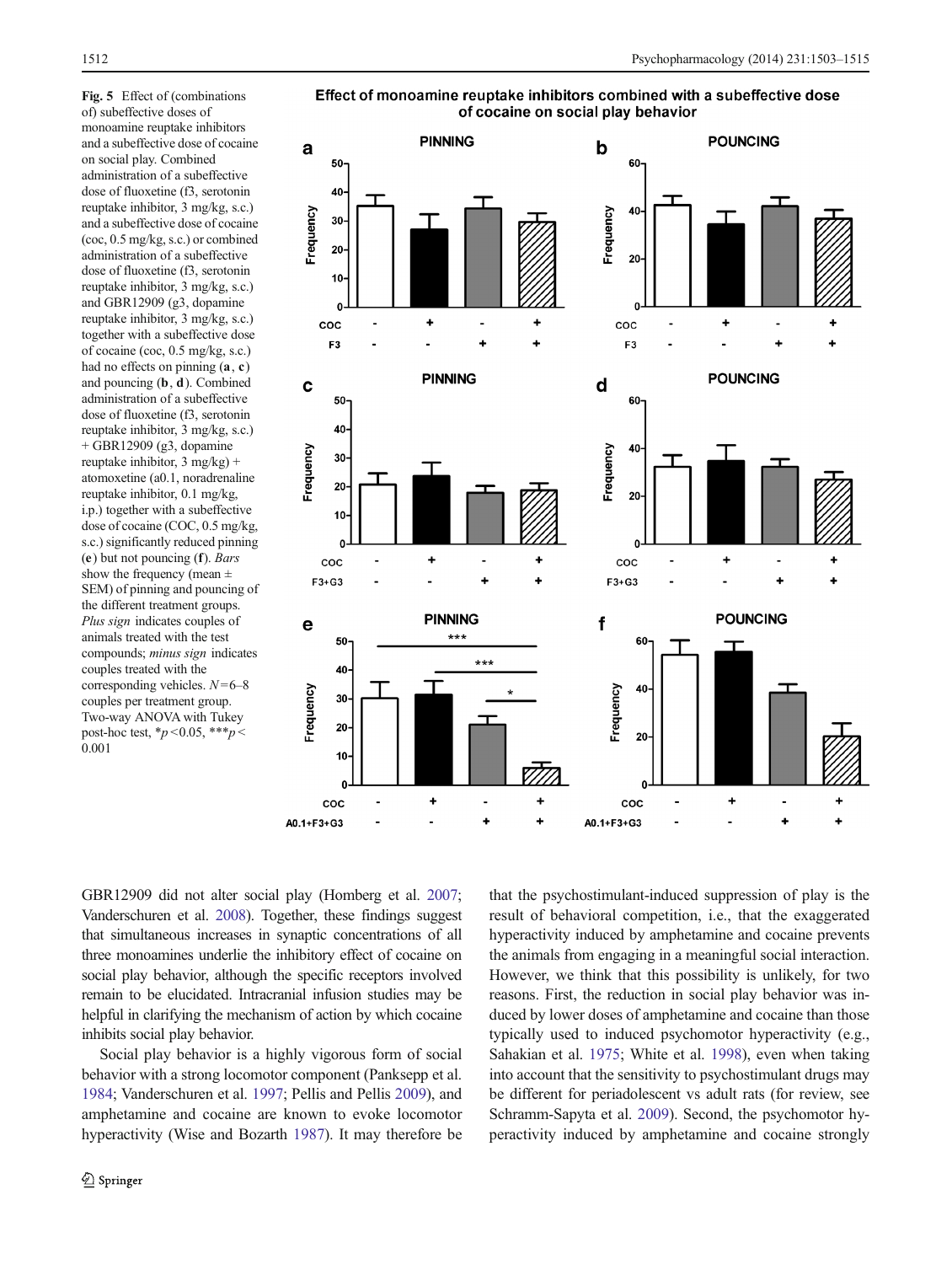<span id="page-9-0"></span>Fig. 5 Effect of (combinations of) subeffective doses of monoamine reuptake inhibitors and a subeffective dose of cocaine on social play. Combined administration of a subeffective dose of fluoxetine (f3, serotonin reuptake inhibitor, 3 mg/kg, s.c.) and a subeffective dose of cocaine (coc, 0.5 mg/kg, s.c.) or combined administration of a subeffective dose of fluoxetine (f3, serotonin reuptake inhibitor, 3 mg/kg, s.c.) and GBR12909 (g3, dopamine reuptake inhibitor, 3 mg/kg, s.c.) together with a subeffective dose of cocaine (coc, 0.5 mg/kg, s.c.) had no effects on pinning (a, c) and pouncing (b, d). Combined administration of a subeffective dose of fluoxetine (f3, serotonin reuptake inhibitor, 3 mg/kg, s.c.)  $+$  GBR12909 (g3, dopamine reuptake inhibitor,  $3 \text{ mg/kg}$  + atomoxetine (a0.1, noradrenaline reuptake inhibitor, 0.1 mg/kg, i.p.) together with a subeffective dose of cocaine (COC, 0.5 mg/kg, s.c.) significantly reduced pinning (e) but not pouncing (f). Bars show the frequency (mean  $\pm$ SEM) of pinning and pouncing of the different treatment groups. Plus sign indicates couples of animals treated with the test compounds; minus sign indicates couples treated with the corresponding vehicles.  $N=6-8$ couples per treatment group. Two-way ANOVA with Tukey post-hoc test,  $*_{p}$  < 0.05,  $***_{p}$  < 0.001

Effect of monoamine reuptake inhibitors combined with a subeffective dose of cocaine on social play behavior



GBR12909 did not alter social play (Homberg et al. [2007](#page-11-0); Vanderschuren et al. [2008\)](#page-12-0). Together, these findings suggest that simultaneous increases in synaptic concentrations of all three monoamines underlie the inhibitory effect of cocaine on social play behavior, although the specific receptors involved remain to be elucidated. Intracranial infusion studies may be helpful in clarifying the mechanism of action by which cocaine inhibits social play behavior.

Social play behavior is a highly vigorous form of social behavior with a strong locomotor component (Panksepp et al. [1984;](#page-11-0) Vanderschuren et al. [1997](#page-12-0); Pellis and Pellis [2009\)](#page-11-0), and amphetamine and cocaine are known to evoke locomotor hyperactivity (Wise and Bozarth [1987](#page-12-0)). It may therefore be that the psychostimulant-induced suppression of play is the result of behavioral competition, i.e., that the exaggerated hyperactivity induced by amphetamine and cocaine prevents the animals from engaging in a meaningful social interaction. However, we think that this possibility is unlikely, for two reasons. First, the reduction in social play behavior was induced by lower doses of amphetamine and cocaine than those typically used to induced psychomotor hyperactivity (e.g., Sahakian et al. [1975](#page-12-0); White et al. [1998](#page-12-0)), even when taking into account that the sensitivity to psychostimulant drugs may be different for periadolescent vs adult rats (for review, see Schramm-Sapyta et al. [2009\)](#page-12-0). Second, the psychomotor hyperactivity induced by amphetamine and cocaine strongly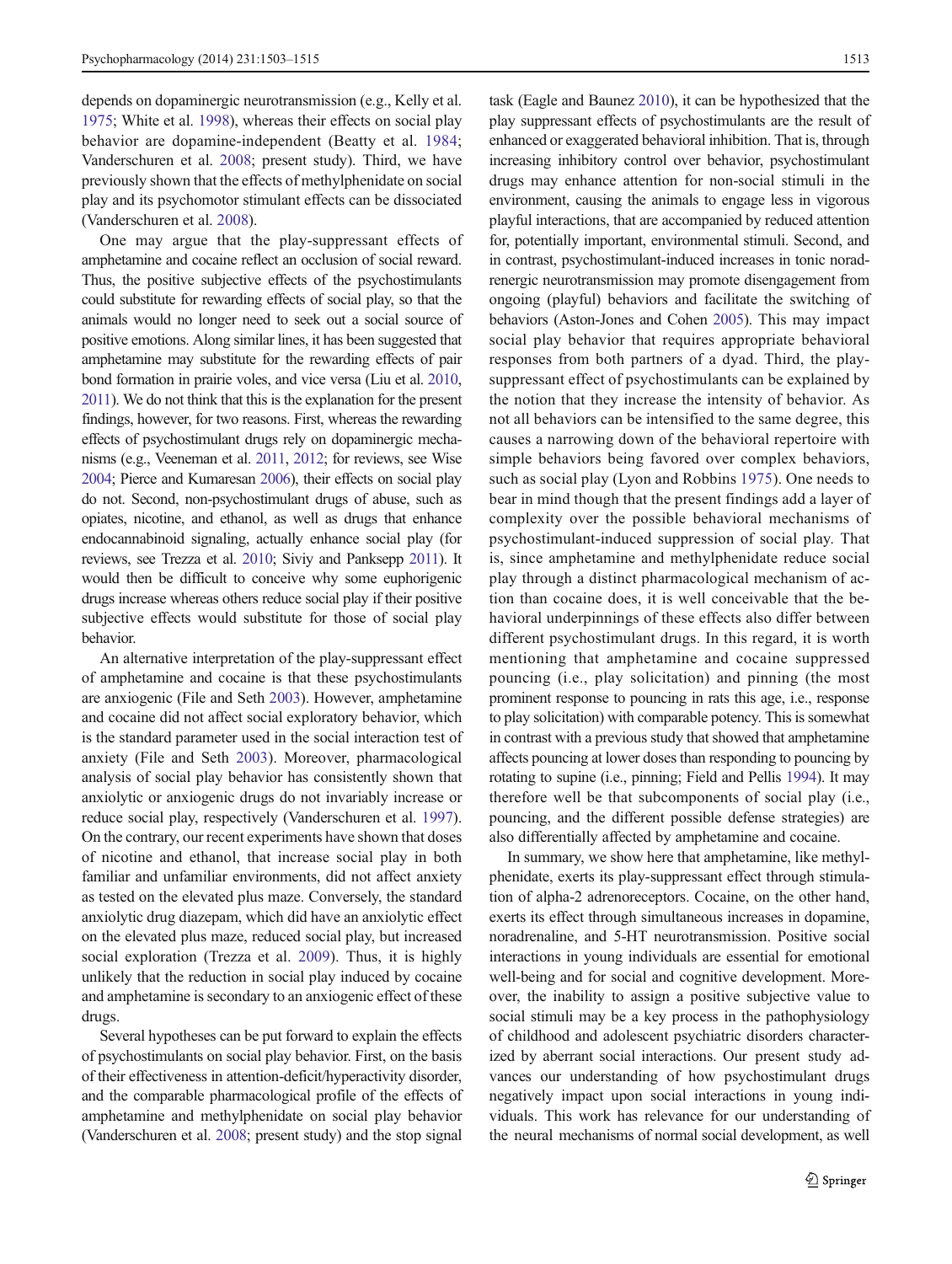depends on dopaminergic neurotransmission (e.g., Kelly et al. [1975;](#page-11-0) White et al. [1998\)](#page-12-0), whereas their effects on social play behavior are dopamine-independent (Beatty et al. [1984](#page-11-0); Vanderschuren et al. [2008](#page-12-0); present study). Third, we have previously shown that the effects of methylphenidate on social play and its psychomotor stimulant effects can be dissociated (Vanderschuren et al. [2008](#page-12-0)).

One may argue that the play-suppressant effects of amphetamine and cocaine reflect an occlusion of social reward. Thus, the positive subjective effects of the psychostimulants could substitute for rewarding effects of social play, so that the animals would no longer need to seek out a social source of positive emotions. Along similar lines, it has been suggested that amphetamine may substitute for the rewarding effects of pair bond formation in prairie voles, and vice versa (Liu et al. [2010,](#page-11-0) [2011\)](#page-11-0). We do not think that this is the explanation for the present findings, however, for two reasons. First, whereas the rewarding effects of psychostimulant drugs rely on dopaminergic mechanisms (e.g., Veeneman et al. [2011,](#page-12-0) [2012;](#page-12-0) for reviews, see Wise [2004;](#page-12-0) Pierce and Kumaresan [2006\)](#page-11-0), their effects on social play do not. Second, non-psychostimulant drugs of abuse, such as opiates, nicotine, and ethanol, as well as drugs that enhance endocannabinoid signaling, actually enhance social play (for reviews, see Trezza et al. [2010;](#page-12-0) Siviy and Panksepp [2011\)](#page-12-0). It would then be difficult to conceive why some euphorigenic drugs increase whereas others reduce social play if their positive subjective effects would substitute for those of social play behavior.

An alternative interpretation of the play-suppressant effect of amphetamine and cocaine is that these psychostimulants are anxiogenic (File and Seth [2003](#page-11-0)). However, amphetamine and cocaine did not affect social exploratory behavior, which is the standard parameter used in the social interaction test of anxiety (File and Seth [2003\)](#page-11-0). Moreover, pharmacological analysis of social play behavior has consistently shown that anxiolytic or anxiogenic drugs do not invariably increase or reduce social play, respectively (Vanderschuren et al. [1997\)](#page-12-0). On the contrary, our recent experiments have shown that doses of nicotine and ethanol, that increase social play in both familiar and unfamiliar environments, did not affect anxiety as tested on the elevated plus maze. Conversely, the standard anxiolytic drug diazepam, which did have an anxiolytic effect on the elevated plus maze, reduced social play, but increased social exploration (Trezza et al. [2009\)](#page-12-0). Thus, it is highly unlikely that the reduction in social play induced by cocaine and amphetamine is secondary to an anxiogenic effect of these drugs.

Several hypotheses can be put forward to explain the effects of psychostimulants on social play behavior. First, on the basis of their effectiveness in attention-deficit/hyperactivity disorder, and the comparable pharmacological profile of the effects of amphetamine and methylphenidate on social play behavior (Vanderschuren et al. [2008](#page-12-0); present study) and the stop signal

task (Eagle and Baunez [2010\)](#page-11-0), it can be hypothesized that the play suppressant effects of psychostimulants are the result of enhanced or exaggerated behavioral inhibition. That is, through increasing inhibitory control over behavior, psychostimulant drugs may enhance attention for non-social stimuli in the environment, causing the animals to engage less in vigorous playful interactions, that are accompanied by reduced attention for, potentially important, environmental stimuli. Second, and in contrast, psychostimulant-induced increases in tonic noradrenergic neurotransmission may promote disengagement from ongoing (playful) behaviors and facilitate the switching of behaviors (Aston-Jones and Cohen [2005\)](#page-11-0). This may impact social play behavior that requires appropriate behavioral responses from both partners of a dyad. Third, the playsuppressant effect of psychostimulants can be explained by the notion that they increase the intensity of behavior. As not all behaviors can be intensified to the same degree, this causes a narrowing down of the behavioral repertoire with simple behaviors being favored over complex behaviors, such as social play (Lyon and Robbins [1975\)](#page-11-0). One needs to bear in mind though that the present findings add a layer of complexity over the possible behavioral mechanisms of psychostimulant-induced suppression of social play. That is, since amphetamine and methylphenidate reduce social play through a distinct pharmacological mechanism of action than cocaine does, it is well conceivable that the behavioral underpinnings of these effects also differ between different psychostimulant drugs. In this regard, it is worth mentioning that amphetamine and cocaine suppressed pouncing (i.e., play solicitation) and pinning (the most prominent response to pouncing in rats this age, i.e., response to play solicitation) with comparable potency. This is somewhat in contrast with a previous study that showed that amphetamine affects pouncing at lower doses than responding to pouncing by rotating to supine (i.e., pinning; Field and Pellis [1994\)](#page-11-0). It may therefore well be that subcomponents of social play (i.e., pouncing, and the different possible defense strategies) are also differentially affected by amphetamine and cocaine.

In summary, we show here that amphetamine, like methylphenidate, exerts its play-suppressant effect through stimulation of alpha-2 adrenoreceptors. Cocaine, on the other hand, exerts its effect through simultaneous increases in dopamine, noradrenaline, and 5-HT neurotransmission. Positive social interactions in young individuals are essential for emotional well-being and for social and cognitive development. Moreover, the inability to assign a positive subjective value to social stimuli may be a key process in the pathophysiology of childhood and adolescent psychiatric disorders characterized by aberrant social interactions. Our present study advances our understanding of how psychostimulant drugs negatively impact upon social interactions in young individuals. This work has relevance for our understanding of the neural mechanisms of normal social development, as well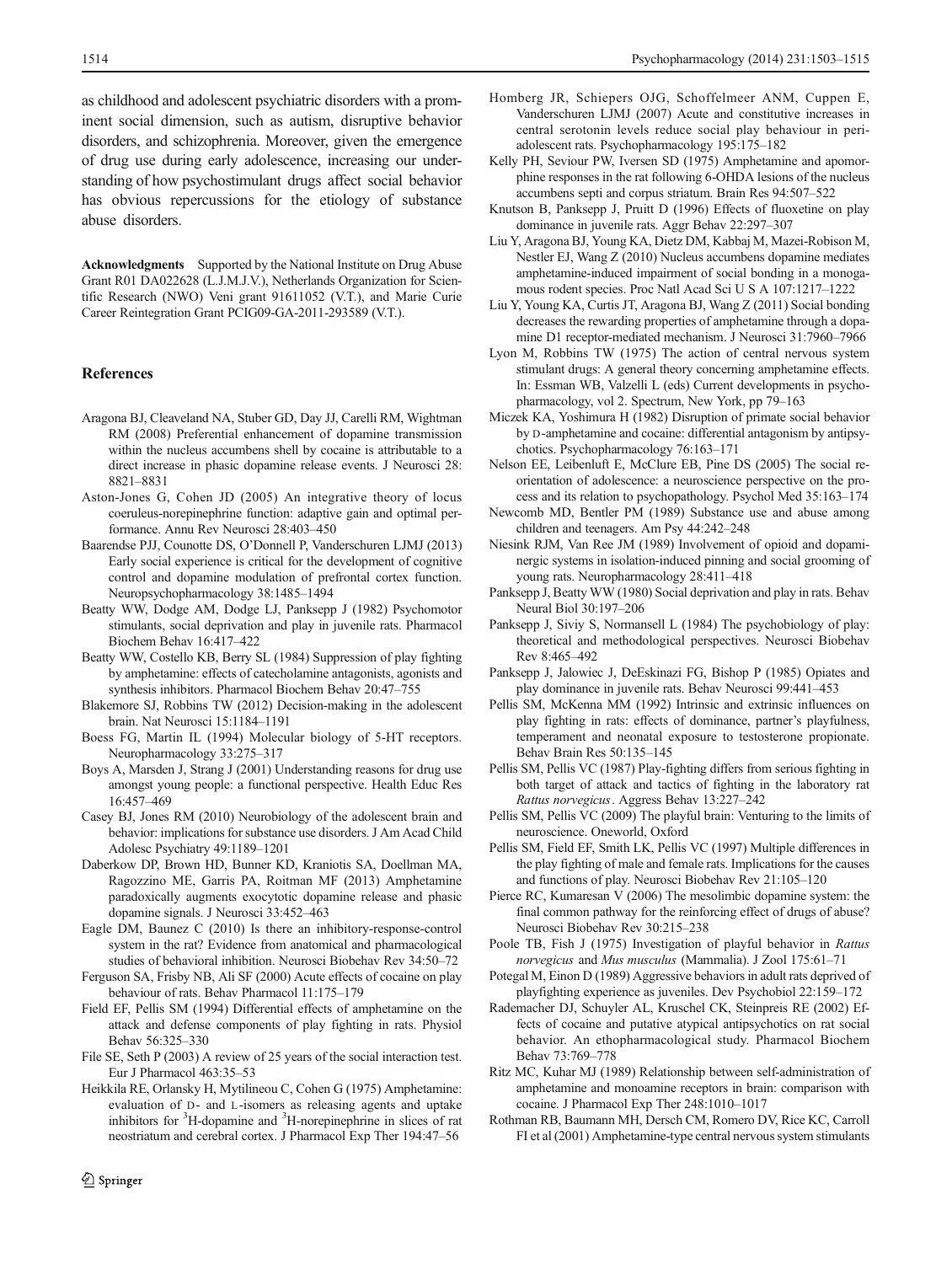<span id="page-11-0"></span>as childhood and adolescent psychiatric disorders with a prominent social dimension, such as autism, disruptive behavior disorders, and schizophrenia. Moreover, given the emergence of drug use during early adolescence, increasing our understanding of how psychostimulant drugs affect social behavior has obvious repercussions for the etiology of substance abuse disorders.

Acknowledgments Supported by the National Institute on Drug Abuse Grant R01 DA022628 (L.J.M.J.V.), Netherlands Organization for Scientific Research (NWO) Veni grant 91611052 (V.T.), and Marie Curie Career Reintegration Grant PCIG09-GA-2011-293589 (V.T.).

# References

- Aragona BJ, Cleaveland NA, Stuber GD, Day JJ, Carelli RM, Wightman RM (2008) Preferential enhancement of dopamine transmission within the nucleus accumbens shell by cocaine is attributable to a direct increase in phasic dopamine release events. J Neurosci 28: 8821–8831
- Aston-Jones G, Cohen JD (2005) An integrative theory of locus coeruleus-norepinephrine function: adaptive gain and optimal performance. Annu Rev Neurosci 28:403–450
- Baarendse PJJ, Counotte DS, O'Donnell P, Vanderschuren LJMJ (2013) Early social experience is critical for the development of cognitive control and dopamine modulation of prefrontal cortex function. Neuropsychopharmacology 38:1485–1494
- Beatty WW, Dodge AM, Dodge LJ, Panksepp J (1982) Psychomotor stimulants, social deprivation and play in juvenile rats. Pharmacol Biochem Behav 16:417–422
- Beatty WW, Costello KB, Berry SL (1984) Suppression of play fighting by amphetamine: effects of catecholamine antagonists, agonists and synthesis inhibitors. Pharmacol Biochem Behav 20:47–755
- Blakemore SJ, Robbins TW (2012) Decision-making in the adolescent brain. Nat Neurosci 15:1184–1191
- Boess FG, Martin IL (1994) Molecular biology of 5-HT receptors. Neuropharmacology 33:275–317
- Boys A, Marsden J, Strang J (2001) Understanding reasons for drug use amongst young people: a functional perspective. Health Educ Res 16:457–469
- Casey BJ, Jones RM (2010) Neurobiology of the adolescent brain and behavior: implications for substance use disorders. J Am Acad Child Adolesc Psychiatry 49:1189–1201
- Daberkow DP, Brown HD, Bunner KD, Kraniotis SA, Doellman MA, Ragozzino ME, Garris PA, Roitman MF (2013) Amphetamine paradoxically augments exocytotic dopamine release and phasic dopamine signals. J Neurosci 33:452–463
- Eagle DM, Baunez C (2010) Is there an inhibitory-response-control system in the rat? Evidence from anatomical and pharmacological studies of behavioral inhibition. Neurosci Biobehav Rev 34:50–72
- Ferguson SA, Frisby NB, Ali SF (2000) Acute effects of cocaine on play behaviour of rats. Behav Pharmacol 11:175–179
- Field EF, Pellis SM (1994) Differential effects of amphetamine on the attack and defense components of play fighting in rats. Physiol Behav 56:325–330
- File SE, Seth P (2003) A review of 25 years of the social interaction test. Eur J Pharmacol 463:35–53
- Heikkila RE, Orlansky H, Mytilineou C, Cohen G (1975) Amphetamine: evaluation of D- and L-isomers as releasing agents and uptake inhibitors for <sup>3</sup>H-dopamine and <sup>3</sup>H-norepinephrine in slices of rat neostriatum and cerebral cortex. J Pharmacol Exp Ther 194:47–56
- Homberg JR, Schiepers OJG, Schoffelmeer ANM, Cuppen E, Vanderschuren LJMJ (2007) Acute and constitutive increases in central serotonin levels reduce social play behaviour in periadolescent rats. Psychopharmacology 195:175–182
- Kelly PH, Seviour PW, Iversen SD (1975) Amphetamine and apomorphine responses in the rat following 6-OHDA lesions of the nucleus accumbens septi and corpus striatum. Brain Res 94:507–522
- Knutson B, Panksepp J, Pruitt D (1996) Effects of fluoxetine on play dominance in juvenile rats. Aggr Behav 22:297–307
- Liu Y, Aragona BJ, Young KA, Dietz DM, Kabbaj M, Mazei-Robison M, Nestler EJ, Wang Z (2010) Nucleus accumbens dopamine mediates amphetamine-induced impairment of social bonding in a monogamous rodent species. Proc Natl Acad Sci U S A 107:1217–1222
- Liu Y, Young KA, Curtis JT, Aragona BJ, Wang Z (2011) Social bonding decreases the rewarding properties of amphetamine through a dopamine D1 receptor-mediated mechanism. J Neurosci 31:7960–7966
- Lyon M, Robbins TW (1975) The action of central nervous system stimulant drugs: A general theory concerning amphetamine effects. In: Essman WB, Valzelli L (eds) Current developments in psychopharmacology, vol 2. Spectrum, New York, pp 79–163
- Miczek KA, Yoshimura H (1982) Disruption of primate social behavior by D-amphetamine and cocaine: differential antagonism by antipsychotics. Psychopharmacology 76:163–171
- Nelson EE, Leibenluft E, McClure EB, Pine DS (2005) The social reorientation of adolescence: a neuroscience perspective on the process and its relation to psychopathology. Psychol Med 35:163–174
- Newcomb MD, Bentler PM (1989) Substance use and abuse among children and teenagers. Am Psy 44:242–248
- Niesink RJM, Van Ree JM (1989) Involvement of opioid and dopaminergic systems in isolation-induced pinning and social grooming of young rats. Neuropharmacology 28:411–418
- Panksepp J, Beatty WW (1980) Social deprivation and play in rats. Behav Neural Biol 30:197–206
- Panksepp J, Siviy S, Normansell L (1984) The psychobiology of play: theoretical and methodological perspectives. Neurosci Biobehav Rev 8:465–492
- Panksepp J, Jalowiec J, DeEskinazi FG, Bishop P (1985) Opiates and play dominance in juvenile rats. Behav Neurosci 99:441–453
- Pellis SM, McKenna MM (1992) Intrinsic and extrinsic influences on play fighting in rats: effects of dominance, partner's playfulness, temperament and neonatal exposure to testosterone propionate. Behav Brain Res 50:135–145
- Pellis SM, Pellis VC (1987) Play-fighting differs from serious fighting in both target of attack and tactics of fighting in the laboratory rat Rattus norvegicus. Aggress Behav 13:227–<sup>242</sup>
- Pellis SM, Pellis VC (2009) The playful brain: Venturing to the limits of neuroscience. Oneworld, Oxford
- Pellis SM, Field EF, Smith LK, Pellis VC (1997) Multiple differences in the play fighting of male and female rats. Implications for the causes and functions of play. Neurosci Biobehav Rev 21:105–120
- Pierce RC, Kumaresan V (2006) The mesolimbic dopamine system: the final common pathway for the reinforcing effect of drugs of abuse? Neurosci Biobehav Rev 30:215–238
- Poole TB, Fish J (1975) Investigation of playful behavior in Rattus norvegicus and Mus musculus (Mammalia). J Zool 175:61–<sup>71</sup>
- Potegal M, Einon D (1989) Aggressive behaviors in adult rats deprived of playfighting experience as juveniles. Dev Psychobiol 22:159–172
- Rademacher DJ, Schuyler AL, Kruschel CK, Steinpreis RE (2002) Effects of cocaine and putative atypical antipsychotics on rat social behavior. An ethopharmacological study. Pharmacol Biochem Behav 73:769–778
- Ritz MC, Kuhar MJ (1989) Relationship between self-administration of amphetamine and monoamine receptors in brain: comparison with cocaine. J Pharmacol Exp Ther 248:1010–1017
- Rothman RB, Baumann MH, Dersch CM, Romero DV, Rice KC, Carroll FI et al (2001) Amphetamine-type central nervous system stimulants